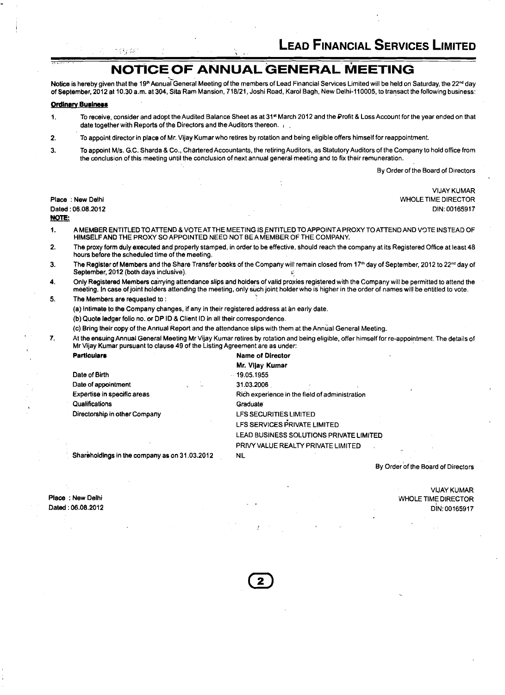## **NOTICE OF ANNUAL GENERAL MEETING**

Notice is hereby given that the 19<sup>th</sup> Annual General Meeting of the members of Lead Financial Services Limited will be held on Saturday, the 22<sup>nd</sup> day of September, 2012 at 10.30 a.m. at 304, Sita Ram Mansion, 718/21, Joshi Road, Karol Bagh, New Delhi-110005, to transact the following business:

### **Ordinary Business**

서로 남겼

,. - \*

- 1. To receive, consider and adopt the Audited Balance Sheet as at 318' March 2012 and the Profit 8 Loss Account for the year ended on that date together with Reports of the Directors and the Auditors thereon. . .
- **2.** To appoint director in place of Mr. Vijay Kumar who retires by rotation and being eligible offers himself for reappointment.

 $\cdot$ 

3. To appoint Mls. G.C. Sharda **8** Co., Chartered Accountants, the retiring Auditors, as Statutory Auditors of the Company to hold office from the conclusion of this meeting until the conclusion of next annual general meeting and to fix their remuneration.

By Order of the Board of Directors

VlJAY KUMAR Place : New Delhi News Delhi News And Director Control of the United States of the United States of the United States of the United States of the United States of the United States of the United States of the United States Dated : 06.08.2012 DIN: 00165917 NOTE:

- 1. A MEMBER ENTITLED TO ATTEND & VOTE AT THE MEETING IS ENTITLED TO APPOINT A PROXY TO ATTEND AND VOTE INSTEAD OF HIMSELF AND THE PROXY SOAPPOINTED NEED NOT BEAMEMBER OF THE COMPANY.
- **2.** The proxy form duly executed and properly stamped, in order to be effective, should reach the company at its Registered Office at least 48 hours before the scheduled time of the meeting.
- 3. The Register of Members and the Share Transfer books of the Company will remain closed from 17<sup>th</sup> day of September, 2012 to 22<sup>nd</sup> day of September, 2012 (both days inclusive).
- **4.** Only Registered Members carrying attendance slips and holders of valid proxies registered with the Company will be permitted to attend the meeting. In case of joint holders attending the meeting, only &ch joint holderwho is higher in the order of names will be entitled to vote.
- **5.** The Members are requested to :

(a) Intimate to the Company changes, if any in their registered address at an early date.

(b) Quote ledger folio no. or DP ID & Client ID in all their correspondence.

(c) Bring their copy of the Annual Report and the attendance slips with them at the Annual General Meeting.

7. At the ensuing Annual General Meeting Mr Vijay Kumar retires by rotation and being eligible, offer himself for re-appointment. The details of Mr Vijay Kumar pursuant to clause 49 of the Listing Agreement are as under:

| <b>Particulars</b>                            | <b>Name of Director</b>                        |
|-----------------------------------------------|------------------------------------------------|
|                                               | Mr. Vijay Kumar                                |
| Date of Birth                                 | $-19.05.1955$                                  |
| Date of appointment                           | 31.03.2006                                     |
| Expertise in specific areas                   | Rich experience in the field of administration |
| Qualifications                                | Graduate                                       |
| Directorship in other Company                 | LFS SECURITIES LIMITED                         |
|                                               | LFS SERVICES PRIVATE LIMITED                   |
|                                               | LEAD BUSINESS SOLUTIONS PRIVATE LIMITED        |
|                                               | PRIVY VALUE REALTY PRIVATE LIMITED             |
| Shareholdings in the company as on 31.03.2012 | NIL.                                           |
|                                               |                                                |

By Order of the Board of Directors

VlJAY KUMAR

DIN: 00165917

WHOLE TlME DIRECTOR

Place : New Delhi Dated : 06.08.2012

2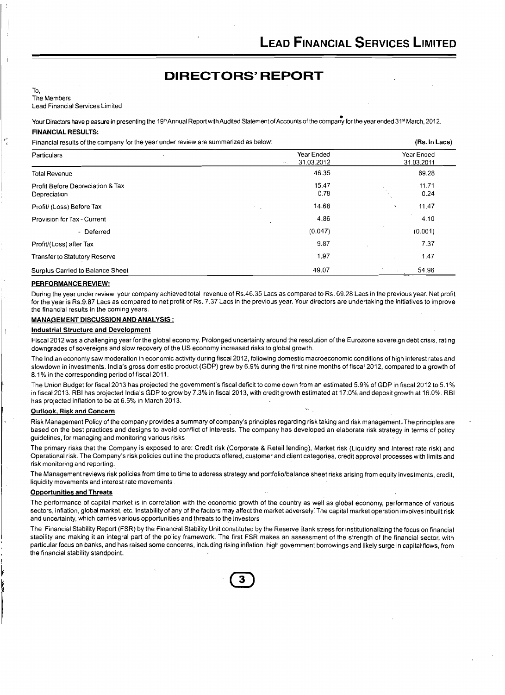## **DIRECTORS' REPORT**

#### To, The Members

Lead Financial Services Limited

Your Directors have pleasure in presenting the 19<sup>th</sup> Annual Report with Audited Statement of Accounts of the company for the year ended 31<sup>st</sup> March, 2012. **FINANCIAL RESULTS:** 

#### Financial results of the company for the year under review are summarized as below: **(Rs.** In **Lacs)**

| $\cdots$ . The component of the company for the four answers. |                                                   |                                                  |
|---------------------------------------------------------------|---------------------------------------------------|--------------------------------------------------|
| <b>Particulars</b>                                            | Year Ended<br>31.03.2012<br>$\sim$ $\sim$ $ \sim$ | Year Ended<br>31.03.2011                         |
| <b>Total Revenue</b>                                          | 46.35                                             | 69.28                                            |
| Profit Before Depreciation & Tax<br>Depreciation              | 15.47<br>0.78                                     | 11.71<br>0.24                                    |
| Profit/ (Loss) Before Tax                                     | 14.68                                             | 11.47                                            |
| Provision for Tax - Current                                   | 4,86                                              | 4.10                                             |
| - Deferred                                                    | (0.047)                                           | (0.001)                                          |
| Profit/(Loss) after Tax                                       | 9.87                                              | 7.37                                             |
| Transfer to Statutory Reserve                                 | 1.97                                              | 1.47                                             |
| Surplus Carried to Balance Sheet                              | 49.07                                             | 54.96<br>$\mathcal{H}_{\mathcal{C},\mathcal{C}}$ |

#### **PERFORMANCE REVIEW:**

During the year under review, your company achieved total revenue of Rs.46.35 Lacs as compared to Rs. 69.28 Lacs in the previous year. Net profit for the year is Rs.9.87 Lacs as compared to net profit of Rs. 7.37 Lacs in the previous year. Your directors are undertaking the initiatives to improve the financial results in the coming years.

#### **MANkGEMENT DISCUSSION AND ANALYSIS** :

### **Industrial Structure and Development**

Fiscal 2012 was a challenging year for the global economy. Prolonged uncertainty around the resolution of the Eurozone sovereign debt crisis, rating downgrades of sovereigns and slow recovery of the US economy increased risks to global growth.

The Indian economy saw moderation in economic activity during fiscal 2012, following domestic macroeconomic conditions of high interest rates and slowdown in investments. India's gross domestic product (GDP) grew by 6.9% during the first nine months of fiscal 2012, compared to a growth of 8.1% in the corresponding period of fiscal 2011.

The Union Budget for fiscal 2013 has projected the government's fiscal deficit to come down from an estimated 5.9% of GDP in fiscal 2012 to 5.1 % in fiscal 2013. RBI has projected India's GDP to grow by 7.3% in fiscal 2013, with credit growth estimated at 17.0% and deposit growth at 16.0%. RBI has projected inflation to be at 6.5% in March 2013.

#### **Outlook, Risk and Concern**

Risk Management Policy of the company provides a summary of company's principles regarding risk taking and risk management,.The principles are based on the best practices and designs to avoid conflict of interests. The company has developed an elaborate risk strategy in terms of policy guidelines, for managing and monitoring various risks

The primary risks that the Company is exposed to are: Credit risk (Corporate & Retail lending), Market risk (Liquidity and Interest rate risk) and Operational risk. The Company's risk policies outline the products offered, customer and client categories, credit approval processes with limits and risk monitoring and reporting.

The Management reviews risk policies from time to time to address strategy and portfolio/balance sheet risks arising from equity investments, credit, liquidity movements and interest rate movements.

#### **Opportunities and Threats**

The performance of capital market is in correlation with the economic growth of the country as well as global economy, performance of various sectors, inflation, global market, etc. Instability of any of the factors may affect the market adversely. The capital market operation involves inbuilt risk and uncertainty, which carries various opportunities and threats to the investors

The Financial Stability Report (FSR) by the Financial Stability Unit constituted by the Reserve Bank stress for institutionalizing the focus on financial stability and making it an integral part of the policy framework. The first FSR makes an assessment of the strength of the financial sector, with particular focus on banks, and has raised some concerns, including rising inflation, high government borrowings and likely surge in capital flows, from the financial stability standpoint.

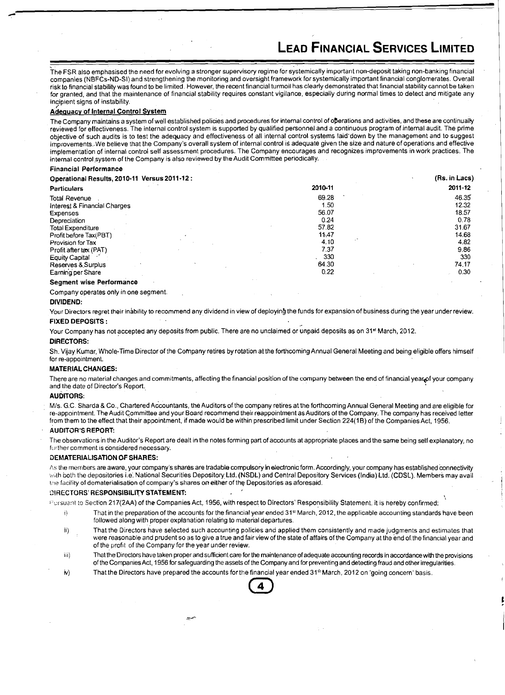'.

The FSR also emphasised the need for evolving a stronger supervisory regime for systemically important non-deposit taking non-banking financial companies (NBFCs-ND-SI) and strengthening the monitoring and oversight framework for systemically important financial conglomerates. Overall risk to financial stability was found to be limited. However, the recent financial turmoil has clearly demonstrated that financial stability cannot be taken for granted, and that the maintenance of financial stability requires constant vigilance, especially during normal times to detect and mitigate any incipient signs of instability.

### Adequacy of Internal Control Svstem

The Company maintains a system of well established policies and procedures for internal control of operations and activities, and these are continually reviewed for effectiveness. The internal control system is supported by qualified personnel and a continuous program of internal audit. The prime objective of such audits is to test the adequacy and effectiveness of all internal control systems laid'down by the management and to suggest impcovements..We believe that the Company's overall system of internal control is adequate given the size and nature of operations and effective implementation of internal control self assessment procedures. The Company encourages and recognizes improvements in work practices: The internal control.system of the Company is also reviewed by the Audit Committee periodically.

#### Financial Performance

| Operational Results, 2010-11 Versus 2011-12: |         | (Rs. in Lacs) |
|----------------------------------------------|---------|---------------|
| <b>Particulars</b>                           | 2010-11 | 2011-12       |
| Total Revenue                                | 69.28   | 46.35         |
| Interest & Financial Charges                 | 1.50    | 12.32         |
| <b>Expenses</b>                              | 56.07   | 18.57         |
| Depreciation                                 | 0.24    | 0.78          |
| <b>Total Expenditure</b>                     | 57.82   | 31.67         |
| Profit before Tax(PBT)                       | 11.47   | 14.68         |
| Provision for Tax                            | 4.10    | 4.82          |
| Profit after tax (PAT)                       | 7.37    | 9.86          |
| <b>Equity Capital</b>                        | 330     | 330           |
| Reserves & Surplus                           | 64.30   | 74.17         |
| Earning per Share                            | 0.22    | 0.30          |
| Conmont wice Derformance                     |         |               |

#### Segment wise Performanc

Company operates only in one segment.

#### DIVIDEND:

Your Directors regret their inability to recommend any dividend in view of deploying the funds for expansion of business during the year under review. FIXED DEPOSITS :

Your Company has not accepted any deposits from public. There are no unclaimed or unpaid deposits as on 31<sup>st</sup> March, 2012.

#### DIRECTORS:

Sh. Vijay Kumar, Whole-Time Director of the Company retires by rotation at the forthcoming Annual General Meeting and being eligible offers himself for re-appointment.

#### MATERIAL CHANGES:

There are no material changes and commitments, affecting the financial position of the company between the end of financial year of your company and the date of Director's Report.

#### AUDITORS:

M/s. G.C. Sharda & Co., Chartered Accountants, the Auditors of the company retires at the forthcoming Annual General Meeting and are eligible for re-appointment. The Audit Committee and your Board recommend their reappointment as Auditors of the Company. The company has received letter from them to the effect that their appointment, if made would be within prescribed limit under Section 224(1B) of the Companies Act, 1956.

#### AUDITSR'S REPORT:

The observations in the Auditor's Report are dealt in the notes forming part of accounts at appropriate places and the same being self explanatory, no further comment is considered necessary.

#### DEMATERIALISATION OF SHARES:

As the members are aware, your company's shares are tradable compulsory in electronic form. Accordingly, your company has established connectivity with both the depositories i.e. National Securities Depository Ltd. (NSDL) and Central Depository Services (India) Ltd. (CDSL). Members may avail the facility of dematerialisation of company's shares on either of the Depositories as aforesaid.

#### DIRECTORS' RESPONSIBILITY STATEMENT:

Pursuant to Section 217(2AA) of the Companies Act, 1956, with respect to Directors' Responsibility Statement, it is hereby confirmed:

- $i)$  That in the preparation of the accounts for the financial year ended 31<sup>st</sup> March, 2012, the applicable accounting standards have been followed along with proper explanation relating to material departures.
- ii) That the Directors have selected such accounting policies and applied them consistently and made judgments and estimates that were reasonable and prudent so as to give a true and fair view of the state of affairs of the Company at the end of the financial year and of the profit of the Company for the year under review.
- ii) That the Directors have taken proper and sufficient care for the maintenance of adequate accounting records in accordance with the provisions of the Companies Act, 1956 for safeguarding the assets of the Company and fo of the Companies Act, 1956 for safeguarding the assets of the Company and for preventing and detecting fraud and other irregularities.
- $iv$  That the Directors have prepared the accounts for the financial year ended 31<sup>st</sup> March, 2012 on 'going concern' basis.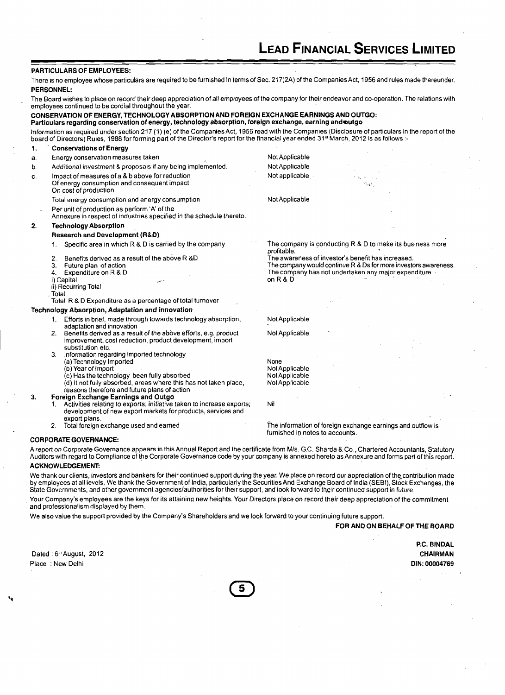### PARTICULARS OF EMPLOYEES:

There is no employee whose particulars are required to be furnished in terms of Sec. 217(2A) of the Companies Act, 1956 and rules made thereunder. PERSONNEL:

The Board wishes to place on record their deep appreciation of all employees of the company for their endeavor and co-operation. The relations with employees continued to be cordial throughout the year.

CONSERVATION OF ENERGY, TECHNOLOGY ABSORPTION AND FOREIGN EXCHANGE EARNINGS AND OUTGO: Particulars regarding conservation of energy, technology absorption, foreign exchange, earning andautgo lnformation as required undersection 217 (1) (e) of the Companies Act, 1956 read with the Companies (Disclosure of particulars in the report of the board of Directors) Rules, 1988 for forming part of the Director's report for the financial year ended 31st March, 2012 is as follows :-**1.** Conservations of Energy a. Energy conservation measures taken and the state of the Mot Applicable b. Additional investment & proposals if any being implemented. Not Applicable c. Impact of measures of a & b above for reduction and Not applicable , ... Of energy consumption and consequent impact On cost of production Total energy consumption and energy consumption Not Applicable Per unit of production as perform 'A' of the Annexure in respect of industries specified in the schedule thereto. **2.** Technology Absorption - Research and Development (R&D)<br>1. Specific area in which R & D is carried by the company The company is conducting R & D to make its business more profitable.<br>The awareness of investor's benefit has increased. 2. Benefits derived as a result of the above R &D<br>3. Future plan of action 3. Future plan of action **The company would continue R & Ds for more investors awareness**.<br>4. Expenditure on R & D **Company is a set of the company has not** undertaken any major expenditure **4. Expenditure on R & D The company has not undertaken any major expenditure i)** Capital **and Company has not undertaken any major expenditure** i) Capital i) Capital ,.. on R & D ,.. on R & D ii) Recurring Total . Total Total R & D Expenditure as a percentage of total turnover Technology Absorption, Adaptation and innovation 1. Efforts in brief, made through towards technology absorption, Not Applicable adaptation and innovation 2. Benefits derived as a result of the above efforts, e.g. product Not Applicable improvement, cost reduction, product development, import substitution etc. Information regarding imported technology (a) Technology Imported and the None of the None of the None of the None of the None of the None of the None of the None of the None of the None of the None of the None of the None of the None of the None of the None of th (b) Year of Import<br>(c) Has the technology been fully absorbed Not Applicable<br>Not Applicable  $\langle c \rangle$  Has the technology been fully absorbed  $\langle d \rangle$  it not fully absorbed, areas where this has not taken place, Not Applicable  $(d)$  It not fully absorbed, areas where this has not taken place, reasons therefore and future plans of action<br>Foreign Exchange Earnings and Outgo **3. Poreign Exchange Earnings and Outgo <br>1. Activities relating to exports; initiative taken to increase exports; Nil** development of new export markets for products, services and export plans.<br>Total foreign exchange used and earned 2. Total foreign exchange used and earned interest information of foreign exchange earnings and outflow is

CORPORATE GOVERNANCE:

A report on Corporate Governance appears in this Annual Report and the certificate from M/s. G.C. Sharda & Co., Chartered Accountants, Statutory Auditors with regard to Compliance of the Corporate Governance code by your company is annexed hereto as Annexure and forms part of this report. ACKNOWLEDGEMENE

furnished ip notes to accounts.

We thank our clients, investors and bankers for their continued support during the year. We place on record our appreciation of the contribution made by employees at all levels. We thank the Government of India, particularly the Securities And Exchange Board of India (SEBI), Stock Exchanges, the State Governments, and other government agencieslauthorities for their support, and look forward to their continued support in future.

Your Company's employees are the keys for its attaining new heights. Your Directors place on record their deep appreciation of the commitment and professionalism displayed by them.

We also value the support provided by the Company's Shareholders and we look forward to your continuing future support.

FOR AND ON BEHALF OF THE BOARD

Dated : 6<sup>th</sup> August, 2012 Place : New Delhi

P.C. BINDAL CHAIRMAN DIN: **00004769**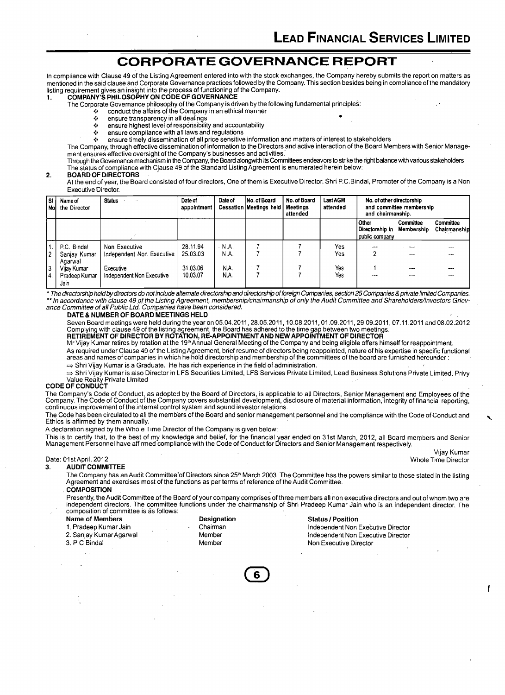## **CORPORATE GOVERNANCE REPORT**

In compliance with Clause 49 of the Listing Agreement entered into with the stock exchanges, the Company hereby submits the report on matters as mentioned in the said clause and Corporate Governance practices followed by the Company. This section besides being in compliance of the mandatory Fisting requirement gives an insight into the process of functioning of the Company.<br>1. **COMPANY'S PHILOSOPHY ON CODE OF GOVERNANCE** 

- The Corporate Governance philosophy of the Company is driven by the following fundamental principles:
	- $\cdot \cdot$  conduct the affairs of the Company in an ethical manner<br> $\cdot \cdot$  ensure transparency in all dealings
	- \* ensure transparency in all dealings<br>\* ensure bighest level of responsibility
	- ensure highest level of responsibility and accountability
	- ė. ensure compliance with all laws and regulations

**6** ensure timely dissemination of all price sensitive information and matters of interest to stakeholders

The Company, through effective dissemination of information to the Directors and active interaction of the Board Members with Senior Management ensures effective oversight of the Company's businesses and activities.'

Through the Governance mechanism in the Company, the Board alongwith its Committees endeavors to strike the r'ght balance with various stakeholders The status of compliance with Cjause 49 of the Standard Listing Agreement is enumerated herein below:

#### **2. BOARD OF DIRECTORS**

At the end of year, the Board consisted of four directors, One of them is Executive Director. Shri P.C.Bindal, Promoter of the Company is a Non Executive Director.

| l sı l<br>l Nol   | Name of<br>the Director                | <b>Status</b>                              | Date of<br>appointment | Date of        | No. of Board<br><b>Cessation Meetings held</b> | No. of Board<br>Meetinas<br>attended | <b>Last AGM</b><br>attended | No. of other directorship<br>and chairmanship.               | and committee membership |                           |
|-------------------|----------------------------------------|--------------------------------------------|------------------------|----------------|------------------------------------------------|--------------------------------------|-----------------------------|--------------------------------------------------------------|--------------------------|---------------------------|
|                   |                                        |                                            |                        |                |                                                |                                      |                             | <b>Other</b><br>Directorship in Membership<br>public company | Committee                | Committee<br>Chairmanship |
| 2                 | P.C. Bindal<br>Sanjay Kumar<br>Agarwal | Non Executive<br>Independent Non Executive | 28.11.94<br>25.03.03   | - N.A.<br>N.A. |                                                |                                      | Yes<br>Yes                  | $- - -$<br>າ                                                 | $\cdots$<br>---          | ---<br>---                |
| 3<br>$\mathbf{4}$ | Vijav Kumar<br>Pradeep Kumar<br>Jain   | Executive<br>Independent Non Executive     | 31.03.06<br>10.03.07   | N.A.<br>N.A.   |                                                |                                      | Yes<br>Yes                  | $- - -$                                                      | ---<br>---               | ---<br>---                |

The directorship heldby directors do not include alternate directorship and directorship of foreign Companies, section 25 Companies & private limited Companies. "In accordance with clause 49 of the Listing Agreement, membership/chairmanship of only the Audit Committee and Shareholders/lnvestors Grievance Committee of all Public Ltd. Companies have been considered.

#### **DATE** & **NUMBER OF BOARD MEETINGS HELD**

Seven Board meetings were held during the year on 05.04.2011, 28.05.2011, 10.08.2011, 01.09.2011, 29.09.2011, 07.11.2011 and 08.02.2012 Complying with clause 49 of the listing agreement, the Board has adhered tothe time gap between two meetings.

**RETIREMENT OF DIRECTOR BY ROTATION,** RE-APPOINTMENT AND **NEW APPOINTMENT OF DIRECTOR**  Mr Vijay Kumar retires by rotation at the 19<sup>th</sup> Annual General Meeting of the Company and being eligible offers himself for reappointment. As required under Clause 49 of the Listing Agreement, brief resume of directors being reappointed, nature of his expertise in specific functional<br>areas and names of companies in which he hold directorship and membership of  $\Rightarrow$  Shri Vijay Kumar is a Graduate. He has rich experience in the field of administration.

⇒ Shri Vijay Kumar is also Director in LFS Securities Limited, LFS Services Private Limited, Lead Business Solutions Private Limited, Privy Value Realty Private Limited

### **CODE OF CONDUCT**

The Company's Code of Conduct, as adopted by the Board of Directors, is applicable to all Directors, Senior Management and Employees of the Company. The Code of Conduct of the Company covers substantial development, disclosure of material information, integrity of financial reporting, continuous improvement of the internal control system and sound investor relations.

The Code has been circulated to all the members of the Board and senior management personnel and the compliance with the Code of Conduct and Ethics is affirmed by them annually.

A declaration signed by the Whole Time Director of the Company is given below:

This is to certify that, to the best of my knowledge and belief, for the financial year ended on 31st March, 2012, all Board members and Senior<br>Management Personnel have affirmed compliance with the Code of Conduct for Dir

Vijay Kumar<br>Whole Time Director

#### Date: 01 st April, 2012<br>3. AUDIT COMMI **AUDIT COMMITTEE**

The Company has an Audit Committee of Directors since 25<sup>th</sup> March 2003. The Committee has the powers similar to those stated in the listing Agreement and exercises most of the functions as per terms of reference of the Audit Committee. . **COMPOSITION** 

Presently, the Audit Committee of the Board of your company comprises of three members all non executive directors and out of whom two are independent directors. The committee functions under the chairmanship of Shri Pradeep Kumar Jain who is an independent director. The composition of committee is as follows:

| Name of Members         | <b>Designation</b> | <b>Status / Position</b>           |
|-------------------------|--------------------|------------------------------------|
| 1. Pradeep Kumar Jain   | Chairman           | Independent Non Executive Director |
| 2. Sanjay Kumar Agarwal | Member             | Independent Non Executive Director |
| 3. P C Bindal .         | Member             | Non Executive Director             |
|                         |                    |                                    |

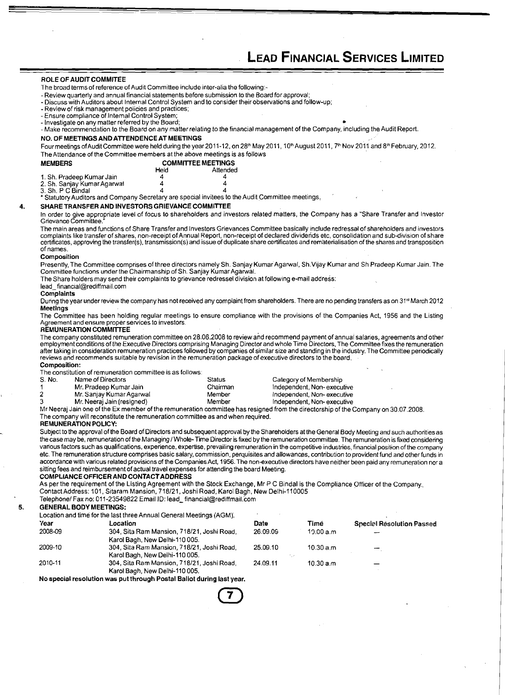#### ROLE OF AUDIT COMMITEE

The broad terms of reference of Audit Committee include inter-alia the following:-<br>- Review quarterly and annual financial statements before submission to the Board for approval;

- Discuss with Auditors about Internal Control System and to consider their observations and follow-up;

- Review of risk management policies and practices;<br>- Ensure compliance of Internal Control System;

- Investigate on any matter referred by the Board;

-Make recommendation to the Board on any matterrelating to the financial management of the Company, including the Audit Report.

### NO. OF MEETINGSAND ATTENDENCE AT MEETINGS

Four meetings of Audit Committee were held during the year 2011-12, on 28<sup>th</sup> May 2011, 10<sup>th</sup> August 2011, 7<sup>th</sup> Nov 2011 and 8<sup>th</sup> February, 2012. The Attendance of the Committee members at the above meetings is as follows

| <b>MEMBERS</b>              | <b>COMMITTEE MEETINGS</b> |          |  |
|-----------------------------|---------------------------|----------|--|
|                             | Held                      | Attended |  |
| 1. Sh. Pradeep Kumar Jain   |                           |          |  |
| 2. Sh. Sanjay Kumar Agarwal |                           |          |  |
| 3. Sh. P C Bindal           |                           |          |  |

3. Sh. P C Bindal 4 **4**  \* Statutory Auditors and Company Secretary are special invitees to the Audit Committee meetings. '

#### **4.** SHARE TRANSFER AND INVESTORS GRIEVANCE COMMITTEE

In order to give appropriate level of focus to shareholders and investors related matters, the Company has a "Share Transfer and Investor Grievance Committee."

The main areas and functions of Share Transfer and Investors Grievances Committee basically include redressal of shareholders and investors complaints like transfer of shares, non-receipt of Annual Report, non-receipt of declared dividends etc, consolidation and sub-division of share<br>certificates, approving the transfer(s), transmission(s) and issue of duplica of names.

#### **Composition**

Presently, The Committee comprises of three directors namely Sh. Sanjay Kumar Agarwal, Sh.Vijay Kumar and Sh Pradeep Kumar Jain. The Committee functions under the Chairmanship of Sh. Sanjay Kumar Aganval.

The Share holders may send their complaints to grievance redressel division at following e-mail address:

#### lead~financial@rediffmail.com

#### **Complaints**

During the year under review the company has not received any complaint from shareholders. There are no pending transfers as on 31st March 2012 **Meetings** 

The Committee has been holding regular meetings to ensure compliance with the provisions of the Companies Act, 1956 and the Listing Agreement and ensure proper services to investors.

### REMUNERATION COMMITTEE

The company constituted remuneration committee on 28.06.2008 to review and recommend payment of annual salaries, agreements and other employment conditions of the Executive Directors comprising Managing Director and whole Time Directors, The Committee fixes the remuneration after taking in consideration remuneration practices followed by companies of similar size and standing in the industry. The Committee periodically reviews and recommends suitable by revision in the remuneration package of executive directors to the board.

### Composition:

The constitution of remuneration committee is as follows:

| S. No. | Name of Directors          | Status   | Category of Membership     |
|--------|----------------------------|----------|----------------------------|
|        | Mr. Pradeep Kumar Jain     | Chairman | Independent, Non-executive |
|        | Mr. Sanjay Kumar Agarwal   | Member   | Independent, Non-executive |
|        | Mr. Neerai Jain (resigned) | Member   | Independent, Non-executive |

Mr Neeraj Jain one of the Ex member of the remuneration committee has resigned from the directorship of the Company on 30.07.2008.

The company will reconstitute the remuneration committee as and when required.

#### REMUNERATION POLICY:

Subject to the approval of the Board of Directors and subsequent approval by the Shareholders at the General Body Meeting and such authorities as the case may be, remuneration of the Managing I Whole- Time Director is fixed by the remuneration committee. The remuneration is fixed considering various factors such as qualifications, experience, expertise, prevailing remuneration in the competitive industries, financial position of the company etc. The remuneration structure comprises basic salary, commission, perquisites and allowances, contribution to provident fund and other funds in accordance with various related provisions of the Companies Act, 1956. The nonexecutive directors have neither been paid any remuneration nor a sitting fees and reimbursement of actual travel expenses for attending the board Meeting.

### COMPLIANCE OFFICER AND CONTACT ADDRESS

As per the requirement of the Listing Agreement with the Stock Exchange, Mr P C Bindal is the Compliance Ofticer of the Company., Contact Address: 101, Sitararn Mansion, 718121, Joshi Road, Karol Bagh, New Delhi-110005

Telephone/ Fax no: 011-23549822 Email ID: lead\_ financial@rediffmail.com

#### **5.** GENERAL BODY MEETINGS:

|         | Location and time for the last three Annual General Meetings (AGM).                                              |          |            |                                  |
|---------|------------------------------------------------------------------------------------------------------------------|----------|------------|----------------------------------|
| Year    | Location                                                                                                         | Date     | Timé       | <b>Special Resolution Passed</b> |
| 2008-09 | 304, Sita Ram Mansion, 718/21, Joshi Road,<br>Karol Bagh, New Delhi-110 005.                                     | 26.09.09 | 10.00 a m  |                                  |
| 2009-10 | 304, Sita Ram Mansion, 718/21, Joshi Road,<br>Karol Bagh, New Delhi-110 005.                                     | 25.09.10 | 10.30 a.m. |                                  |
| 2010-11 | 304, Sita Ram Mansion, 718/21, Joshi Road,<br>Karol Bagh, New Delhi-110 005.                                     | 24.09.11 | 10.30 a.m. |                                  |
|         | All a consistent consistents are consistent in a contribution of the filler and consistent and consistent of the |          |            |                                  |

No special resolution was put through Postal Ballot during last year.

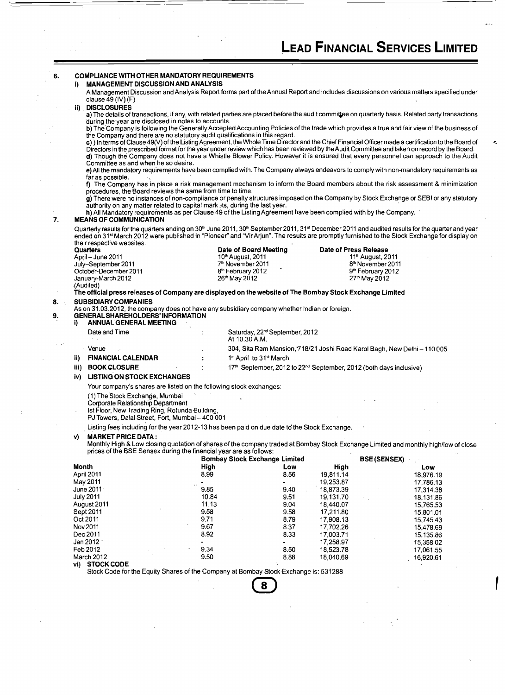|       |                                                                                                                                                                                               | MANAGEMENT DISCUSSION AND ANALYSIS |                                                 |                                                                                            | A Management Discussion and Analysis Report forms part of the Annual Report and includes discussions on various matters specified under                                                                                                                                                                                                                                                                                                    |  |
|-------|-----------------------------------------------------------------------------------------------------------------------------------------------------------------------------------------------|------------------------------------|-------------------------------------------------|--------------------------------------------------------------------------------------------|--------------------------------------------------------------------------------------------------------------------------------------------------------------------------------------------------------------------------------------------------------------------------------------------------------------------------------------------------------------------------------------------------------------------------------------------|--|
|       | clause 49 (IV) (F)                                                                                                                                                                            |                                    |                                                 |                                                                                            |                                                                                                                                                                                                                                                                                                                                                                                                                                            |  |
| ii)   | <b>DISCLOSURES</b>                                                                                                                                                                            |                                    |                                                 |                                                                                            | a) The details of transactions, if any, with related parties are placed before the audit committee on quarterly basis. Related party transactions                                                                                                                                                                                                                                                                                          |  |
|       | during the year are disclosed in notes to accounts.                                                                                                                                           |                                    |                                                 |                                                                                            |                                                                                                                                                                                                                                                                                                                                                                                                                                            |  |
|       |                                                                                                                                                                                               |                                    |                                                 |                                                                                            | b) The Company is following the Generally Accepted Accounting Policies of the trade which provides a true and fair view of the business of                                                                                                                                                                                                                                                                                                 |  |
|       | the Company and there are no statutory audit qualifications in this regard.<br>Committee as and when he so desire.                                                                            |                                    |                                                 |                                                                                            | c) ) In terms of Clause 49(V) of the Listing Agreement, the Whole Time Director and the Chief Financial Officer made a certification to the Board of<br>Directors in the prescribed format for the year under review which has been reviewed by the Audit Committee and taken on record by the Board.<br>d) Though the Company does not have a Whistle Blower Policy. However it is ensured that every personnel can approach to the Audit |  |
|       | far as possible.                                                                                                                                                                              |                                    |                                                 |                                                                                            | e) All the mandatory requirements have been complied with. The Company always endeavors to comply with non-mandatory requirements as                                                                                                                                                                                                                                                                                                       |  |
|       | procedures, the Board reviews the same from time to time.                                                                                                                                     |                                    |                                                 |                                                                                            | f) The Company has in place a risk management mechanism to inform the Board members about the risk assessment & minimization                                                                                                                                                                                                                                                                                                               |  |
|       | authority on any matter related to capital mark ats, during the last year.<br>h) All Mandatory requirements as per Clause 49 of the Listing Agreement have been complied with by the Company. |                                    |                                                 |                                                                                            | g) There were no instances of non-compliance or penalty structures imposed on the Company by Stock Exchange or SEBI or any statutory                                                                                                                                                                                                                                                                                                       |  |
|       | <b>MEANS OF COMMUNICATION</b>                                                                                                                                                                 |                                    |                                                 |                                                                                            |                                                                                                                                                                                                                                                                                                                                                                                                                                            |  |
|       |                                                                                                                                                                                               |                                    |                                                 |                                                                                            | Quarterly results for the quarters ending on 30 <sup>th</sup> June 2011, 30 <sup>th</sup> September 2011, 31 <sup>st</sup> December 2011 and audited results for the quarter and year<br>ended on 31st March 2012 were published in "Pioneer" and "Vir Arjun". The results are promptly furnished to the Stock Exchange for display on                                                                                                     |  |
|       | their respective websites.<br><b>Quarters</b>                                                                                                                                                 |                                    | Date of Board Meeting                           | Date of Press Release                                                                      |                                                                                                                                                                                                                                                                                                                                                                                                                                            |  |
|       | April - June 2011                                                                                                                                                                             | 10th August, 2011                  |                                                 | 11 <sup>th</sup> August, 2011                                                              |                                                                                                                                                                                                                                                                                                                                                                                                                                            |  |
|       | July-September 2011                                                                                                                                                                           | 7 <sup>th</sup> November 2011      |                                                 | 8 <sup>th</sup> November 2011                                                              |                                                                                                                                                                                                                                                                                                                                                                                                                                            |  |
|       | October-December 2011                                                                                                                                                                         | 8 <sup>th</sup> February 2012      |                                                 | 9th February 2012                                                                          |                                                                                                                                                                                                                                                                                                                                                                                                                                            |  |
|       | January-March 2012<br>(Audited)                                                                                                                                                               | 26 <sup>th</sup> May 2012          |                                                 | 27 <sup>th</sup> May 2012                                                                  |                                                                                                                                                                                                                                                                                                                                                                                                                                            |  |
|       | The official press releases of Company are displayed on the website of The Bombay Stock Exchange Limited                                                                                      |                                    |                                                 |                                                                                            |                                                                                                                                                                                                                                                                                                                                                                                                                                            |  |
|       | <b>SUBSIDIARY COMPANIES</b>                                                                                                                                                                   |                                    |                                                 |                                                                                            |                                                                                                                                                                                                                                                                                                                                                                                                                                            |  |
|       | As on 31.03.2012, the company does not have any subsidiary company whether Indian or foreign.<br><b>GENERAL SHAREHOLDERS' INFORMATION</b>                                                     |                                    |                                                 |                                                                                            |                                                                                                                                                                                                                                                                                                                                                                                                                                            |  |
| i).   | <b>ANNUAL GENERAL MEETING</b>                                                                                                                                                                 |                                    |                                                 |                                                                                            |                                                                                                                                                                                                                                                                                                                                                                                                                                            |  |
|       | Date and Time                                                                                                                                                                                 | At 10.30 A.M.                      | Saturday, 22 <sup>nd</sup> September, 2012      |                                                                                            |                                                                                                                                                                                                                                                                                                                                                                                                                                            |  |
|       |                                                                                                                                                                                               |                                    |                                                 |                                                                                            |                                                                                                                                                                                                                                                                                                                                                                                                                                            |  |
|       | Venue                                                                                                                                                                                         |                                    |                                                 | 304, Sita Ram Mansion, 718/21 Joshi Road Karol Bagh, New Delhi – 110 005                   |                                                                                                                                                                                                                                                                                                                                                                                                                                            |  |
| ii).  | <b>FINANCIAL CALENDAR</b>                                                                                                                                                                     |                                    | 1 <sup>st</sup> April to 31 <sup>st</sup> March |                                                                                            |                                                                                                                                                                                                                                                                                                                                                                                                                                            |  |
| iii). | <b>BOOK CLOSURE</b>                                                                                                                                                                           |                                    |                                                 | 17 <sup>th</sup> September, 2012 to 22 <sup>nd</sup> September, 2012 (both days inclusive) |                                                                                                                                                                                                                                                                                                                                                                                                                                            |  |
| iv)   | <b>LISTING ON STOCK EXCHANGES</b>                                                                                                                                                             |                                    |                                                 |                                                                                            |                                                                                                                                                                                                                                                                                                                                                                                                                                            |  |
|       | Your company's shares are listed on the following stock exchanges:                                                                                                                            |                                    |                                                 |                                                                                            |                                                                                                                                                                                                                                                                                                                                                                                                                                            |  |
|       | (1) The Stock Exchange, Mumbai<br>Corporate Relationship Department                                                                                                                           |                                    |                                                 |                                                                                            |                                                                                                                                                                                                                                                                                                                                                                                                                                            |  |
|       | Ist Floor, New Trading Ring, Rotunda Building,<br>PJ Towers, Dalal Street, Fort, Mumbai - 400 001                                                                                             |                                    |                                                 |                                                                                            |                                                                                                                                                                                                                                                                                                                                                                                                                                            |  |
|       | Listing fees including for the year 2012-13 has been paid on due date to the Stock Exchange.                                                                                                  |                                    |                                                 |                                                                                            |                                                                                                                                                                                                                                                                                                                                                                                                                                            |  |
| V).   | <b>MARKET PRICE DATA:</b>                                                                                                                                                                     |                                    |                                                 |                                                                                            | Monthly High & Low closing quotation of shares of the company traded at Bombay Stock Exchange Limited and monthly high/low of close                                                                                                                                                                                                                                                                                                        |  |
|       | prices of the BSE Sensex during the financial year are as follows:                                                                                                                            |                                    |                                                 | <b>BSE (SENSEX)</b>                                                                        |                                                                                                                                                                                                                                                                                                                                                                                                                                            |  |
| Month |                                                                                                                                                                                               | High                               | <b>Bombay Stock Exchange Limited</b><br>Low     | High                                                                                       | Low                                                                                                                                                                                                                                                                                                                                                                                                                                        |  |
|       | April 2011                                                                                                                                                                                    | 8.99                               | 8.56                                            | 19,811.14                                                                                  | 18,976.19                                                                                                                                                                                                                                                                                                                                                                                                                                  |  |
|       | May 2011                                                                                                                                                                                      |                                    |                                                 | 19,253.87                                                                                  | 17,786.13                                                                                                                                                                                                                                                                                                                                                                                                                                  |  |
|       | June 2011 <sup>.</sup>                                                                                                                                                                        | 9.85                               | 9.40                                            | 18,873.39                                                                                  | 17,314.38                                                                                                                                                                                                                                                                                                                                                                                                                                  |  |
|       | July 2011                                                                                                                                                                                     | 10.84                              | 9.51                                            | 19.131.70                                                                                  | 18,131.86                                                                                                                                                                                                                                                                                                                                                                                                                                  |  |
|       | August 2011                                                                                                                                                                                   | 11.13                              | 9.04                                            | 18,440.07                                                                                  | 15,765.53                                                                                                                                                                                                                                                                                                                                                                                                                                  |  |
|       | Sept 2011                                                                                                                                                                                     | 9.58                               | 9.58                                            | 17,211.80                                                                                  | 15,801.01                                                                                                                                                                                                                                                                                                                                                                                                                                  |  |
|       | Oct 2011<br>Nov 2011                                                                                                                                                                          | 9.71<br>9.67                       | 8.79<br>8.37                                    | 17,908.13<br>17,702.26                                                                     | 15,745.43                                                                                                                                                                                                                                                                                                                                                                                                                                  |  |
|       | Dec 20.11                                                                                                                                                                                     | 8.92                               | 8.33                                            | 17,003.71                                                                                  | 15,478.69<br>15,135.86                                                                                                                                                                                                                                                                                                                                                                                                                     |  |
|       | Jan 2012 1                                                                                                                                                                                    |                                    |                                                 | 17,258.97                                                                                  | 15,358.02                                                                                                                                                                                                                                                                                                                                                                                                                                  |  |
|       | Feb 2012                                                                                                                                                                                      | 9.34                               | 8.50                                            | 18,523.78                                                                                  | 17,061.55                                                                                                                                                                                                                                                                                                                                                                                                                                  |  |
|       | March 2012<br>vi) STOCK CODE                                                                                                                                                                  | 9.50                               | 8.88                                            | 18,040.69                                                                                  | 16,920.61                                                                                                                                                                                                                                                                                                                                                                                                                                  |  |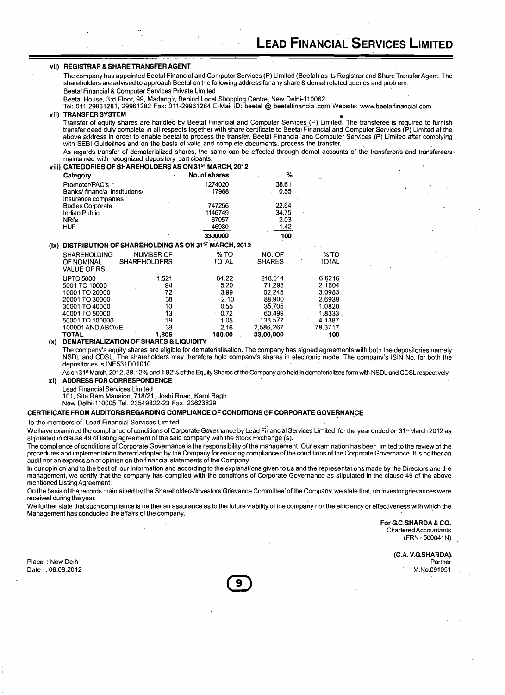### vii) **REGISTRAR &SHARE TRANSFER AGENT**

The company has appointed Beetal Financial and Computer Services (P) Limited (Beetal) as its Registrar and Share Transfer Agent. The shareholders are advised to approach Beetal on the following address for any share & demat related queries and problem: Beetal Financial & Computer Services Private Limited

Beetal House, 3rd Floor, 99, Madangir, Behind Local Shopping Centre, New Delhi-110062.

. .

Tel: 011-29961281, 29961282 Fax: 011-29961284 E-Mail ID: beetal @ beetalfinancial.com Website: www.beetalfinancial.com

#### vii) **TRANSFER SYSTEM**

Transfer of equity shares are handled by Beetal Financial and Computer Services (P) Limited. The transferee is required to furnish transfer deed duly complete in all respects together with share certificate to Beetal Financial and Computer Services (P) Limited at the above address in order to enable beetal to process the transfer. Beetal Financial and Computer Services (P) Limited after complyipg with SEBI Guidelines and on the basis of valid and complete documents, process the transfer. As regards transfer of dematerialized shares, the same can be effected through demat accounts of the transferor/s and transferee/s. maintained with recognized depository participants.

### viii) **CATEGORIES OF SHAREHOLDERS AS ON 31STMARCH, 2012**

|      | Category                       |                                                     | No. of shares | %             |              |
|------|--------------------------------|-----------------------------------------------------|---------------|---------------|--------------|
|      | Promoter/PAC's                 |                                                     | 1274020       | 38.61         |              |
|      | Banks/ financial institutions/ |                                                     | 17988         | 0.55          |              |
|      | Insurance companies            |                                                     |               |               |              |
|      | <b>Bodies Corporate</b>        |                                                     | 747256        | 22.64         |              |
|      | Indian Public                  |                                                     | 1146749       | 34.75         |              |
|      | NRI's                          |                                                     | 67057         | 2.03          |              |
|      | HUF                            |                                                     | 46930         | 1.42          |              |
|      |                                |                                                     | 3300000       | 100           |              |
| (ix) |                                | DISTRIBUTION OF SHAREHOLDING AS ON 31ST MARCH, 2012 |               |               |              |
|      | <b>SHAREHOLDING</b>            | <b>NUMBER OF</b>                                    | % TO          | NO. OF        | % TO         |
|      | OF NOMINAL                     | <b>SHAREHOLDERS</b>                                 | TOTAL         | <b>SHARES</b> | <b>TOTAL</b> |
|      | VALUE OF RS.                   |                                                     |               |               |              |
|      | <b>UPTO 5000</b>               | 1,521                                               | 84.22         | 218,514       | 6.6216       |
|      | 5001 TO 10000                  | 94                                                  | 5.20          | 71.293        | 2.1604       |
|      | 10001 TO 20000                 | 72                                                  | 3.99          | 102.245       | 3.0983       |
|      | 20001 TO 30000                 | 38                                                  | 2.10          | 88,900        | 2.6939       |
|      | 30001 TO 40000                 | 10                                                  | 0.55          | 35.705        | 1.0820       |
|      | 40001 TO 50000                 | 13                                                  | $-0.72$       | 60.499        | $1.8333 -$   |
|      | 50001 TO 100000                | 19                                                  | 1.05          | 136,577       | 4.1387       |
|      | 100001 AND ABOVE               | 39                                                  | 2.16          | 2.586,267     | 78.3717      |
|      | <b>TOTAL</b>                   | 1,806                                               | 100.00        | 33,00,000     | 100          |

**(x) DEMATERIALIZATION OF SHARES** & **LIQUIDITY** 

The company's equity shares are eligible for dematerialisation. The company has signed agreements with both the depositories namely NSDL and CDSL. The shareholders may therefore hold company's shares in electronic mode. The company's lSlN No. for both the depositories is INE531D01010.

As on 31<sup>st</sup> March, 2012, 38.12% and 1.92% of the Equity Shares of the Company are held in dematerialized form with NSDL and CDSL respectively. **xi) ADDRESS FOR CORRESPONDENCE** 

Lead Financial Services Limited

101, Sita Ram Mansion, 718121, Joshi Road, Karol Bagh

New Delhi-110005 Tel. 23549822-23 Fax. 23623829

#### CERTIFICATE FROM AUDITORS REGARDING COMPLIANCE OF CONDITIONS OF CORPORATE GOVERNANCE

To the members of Lead Financial Services Limited

We have examined the compliance of conditions of Corporate Governance by Lead Financial Services Limited, for the year ended on 31<sup>st</sup> March 2012 as stipulated in clause 49 of listing agreement of the said company with the Stock Exchange (s).

'The compliance of conditions of Corporate Governance is the responsibility of the management. Our examination has been limited to the review of the procedures and implementation thereof adopted by the Company for ensuring compliance of the conditions of the Corporate Governance. It is neither an audit nor an expression of opinion on the financial statements of the Company.

In our opinion and to the best of our information and according to the explanations given to us and the representations made by the Directors and the management, we certify that the company has complied with the conditions of Corporate Governance as stlpulated in the clause 49 of the above mentioned Listing Agreement.

On the basis of the records maintained by the Shareholders/Investors Grievance Committee' of the Company, we state that, no investor grievances were received during the year.

We further state that such compliance is neither an assurance as to the future viability of the company nor the efficiency or effectiveness with which the Management has conducted the affairs of the company.

> **For G.C.SHARDA & CO.** Chartered Accountants (FRN - 500041N)

> > **(C.A. V.GSHARDA),**  Partner M.No.091051

Place : New Delhi Date : 06.08.2012

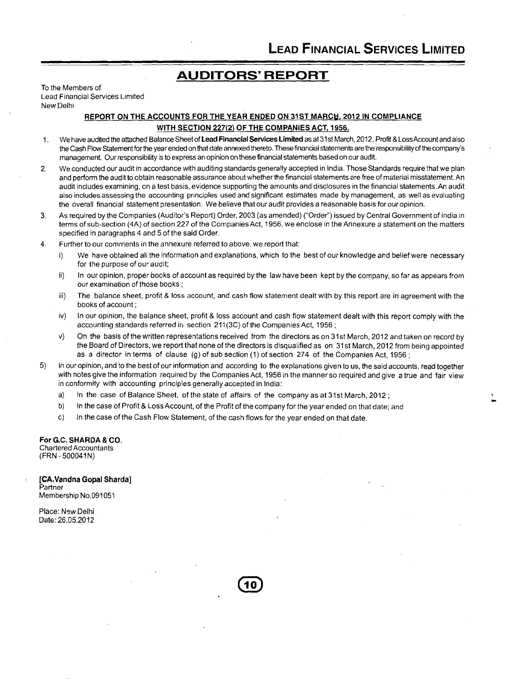## **AUDITORS' REPORT**

To the Members of Lead Financial Services Limited New Delhi

### **REPORT ON THE ACCOUNTS FOR 'THE YEAR ENDED ON 31ST MARCH, 2012 IN COMPLIANCE WITH SECTION 227(2) OF THE COMPANIES ACT, 1956.**

- 1. We have audited the attached Balance Sheet of **Lead Financial Services Limited** as at 31 st March, 2012, Profit & LossAccount and also the Cash Flow Statement for the year ended on that date annexed thereto. These financial statements are the responsibility of the company's management. Our responsibility is to express an opinion on these financial statements based on our audit.
- 2. We conducted our audit in accordance with auditing standards generally accepted in India. Those Standards require that we plan and perform the audit to obtain reasonable assurance about whether the financial statements are free of material misstatement. An audit includes examining, on a test basis, evidence supporting the amounts and disclosures in the financial statements. An audit also includes assessing the accounting principles used and significant estimates made by management, as well as evaluating the overall financial statement presentation. We believe that our audit provides a reasonable basis for ouropinion.
- 3. As required by the Companies (Auditor's Report) Order, 2003 (as amended) ("Order") issued by Central Government of India in terms of sub-section (4A) of section 227 of the Companies Act, 1956, we enclose in the Annexure a statement on the matters specified in paragraphs 4 and 5 of the said Order.
- 4. Further to our comments in the annexure referred to above, we report that:
	- i) We have obtained all the information and explanations, which to the best of our knowledge and belief were necessary for the purpose of our audit;
	- ii) In our opinion, proper books of account as required by the law have been kept by the company, so far as appears from our examination of those books ;
	- iii) The balance sheet, profit & loss account, and cash flow statement dealt with by this report are in agreement with the books of account ;
	- iv) In our opinion, the balance sheet, profit & loss account and cash flow statement dealt with this report comply with the accounting standards referred in section 211(3C) of the Companies Act, 1956;
	- v) On the basis of the written representations received from the directors as on 31st March, 2012 and taken on record by the Board of Directors, we report that none of the directors is disqualified as on 31st March, 2012 from being appointed as a director in terms of clause (g) of sub section (1) of section 274 of the Companies Act, 1956 ;
- 5) In our opinion, and to the best of our information and according to the explanations given to us, the said accounts, read together with notes give the information required by the Companies Act, 1956 in the manner so required and give a true and fair view in conformity with accounting principles generally accepted in India:
	- a) In the case of Balance Sheet, of the state of affairs of the company as at 31st March, 2012 ;
	- b) In the case of Profit & Loss Account, of the Profit of the company for the year ended on that date; and
	- c) In the case of the Cash Flow Statement, of the cash flows for the year ended on that date.

**For GC. SHARDA** & **CO.**  Chartered Accountants (FRN - 500041N)

**[CA.Vandna Gopal Sharda] Partner** Membership No.091051

Place: New Delhi Date: 26.05.2012

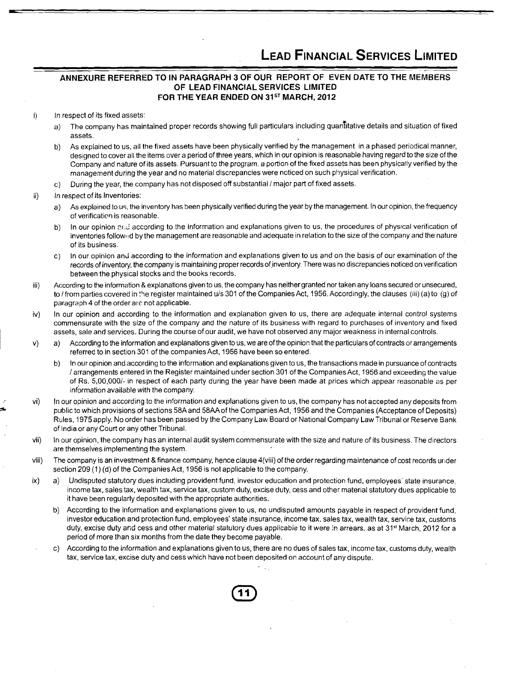### - **e-- ANNEXURE REFERRED TO IN PARAGRAPH 3 OF OUR REPORT OF EVEN DATE TO THE MEMBERS OF LEAD FINANCIAL SERVICES LIMITED FOR THE YEAR ENDED ON 31" MARCH, 2012**

#### In respect of its fixed assets: i)

- a) The company has maintained proper records showing full particulars including quantitative details and situation of fixed assets.
- b) As explained to us, all the fixed assets have been physically verified by the management in a phased periodical manner, designed to cover all the items over a period of three years, which in our opinion is reasonable having regard to the size of the Company and nature of its assets. Pursuant to the program, a portion of the fixed assets has been physically verified by the management during the year and no material discrepancies were noticed on such physical verification.
- c) During the year, the company has not disposed off substantial / major part of fixed assets.

#### ii) In respect of its Inventories:

- a) As explained to us, the inventory has been physically verified during the year by the management. In our opinion, the frequency of verification is reasonable.
- b) In our opinion **zrideled conding to the information** and explanations given to us, the procedures of physical verification of inventories followed by the management are reasonable and adequate in relation to the size of the company and the nature of its business.
- $c)$  In our opinion and according to the information and explanations given to us and on the basis of our examination of the records of inventory, the company is maintaining proper records of inventory. There was no discrepancies noticed on verification between the physical stocks and the books records.
- iii) According to the information &explanations given to us, the company has neithergranted nor taken any loans secured or unsecured, to / from parties covered in the register maintained u/s 301 of the Companies Act, 1956. Accordingly, the clauses (iii) (a) to (g) of paragraph 4 of the order are not applicable.
- iv) In our opinion and according to the information and explanation given to us, there are adequate internal control systems commensurate with the size of the company and the nature of its business with regard to purchases of inventory and fixed assets, sale and services. During the course of our audit, we have not observed any major weakness in internal controls.
- a) According to the information and explanations given to us, we are of the opinion that the particulars of contracts or arrangements  $V)$ referred to in section 301 of the companies Act, 1956 have been so entered.
	- b) In our opinion and according to the information and explanations given to us, the transactions made in pursuance of contracts l arrangements entered in the Register maintained under section 301 of the Companies Act, 1956 and exceeding the value of Rs. 5,00,000/- in respect of each party during the year have been made at prices which appear reasonable as per information available with the company.
- vi) **5**  In our opinion and according to the tnformation and explanations given to us, the company has not accepted any deposits from public to which provisions of sections 58Aand 58AAof the Companies Act, 1956 and the Companies (Acceptance of Deposits) Rules, 1975 apply. No order has been passed by the Company Law Board or National Company Law Tribunal or Reserve Bank of India or any Court or any other Tribunal.
	- vii) In our opinion, the company has an internal audit system commensurate with the size and nature of its business. The directors are themselves implementing the system.
	- viii) The company is an investment & finance company, hence clause 4(viii) of the order regarding maintenance of cost records under section 209 (1) (d) of the Companies Act, 1956 is not applicable to the company.
	- $ix)$ a) Undisputed statutory dues including provident fund, investor education and protection fund, employees' state insurance, income tax, sales tax, wealth tax, service tax, custom duty, excise duty, cess and other material statutory dues applicable to it have been regularly deposited with the appropriate authorities.
		- b) According to the information and explanations given to us, no undisputed amounts payable in respect of provident fund, investor education and protection fund, employees' state insurance, income tax, sales tax, wealth tax, service tax, customs duty, excise duty and cess and other material statutory dues applicable to it were in arrears, as at 31<sup>st</sup> March, 2012 for a period of more than six months from the date they become payable.
		- c) According to the information and explanations given to us, there are no dues of sales tax, income tax, customs duty, wealth tax, service tax, excise duty and cess which have not been deposited on account of any dispute.

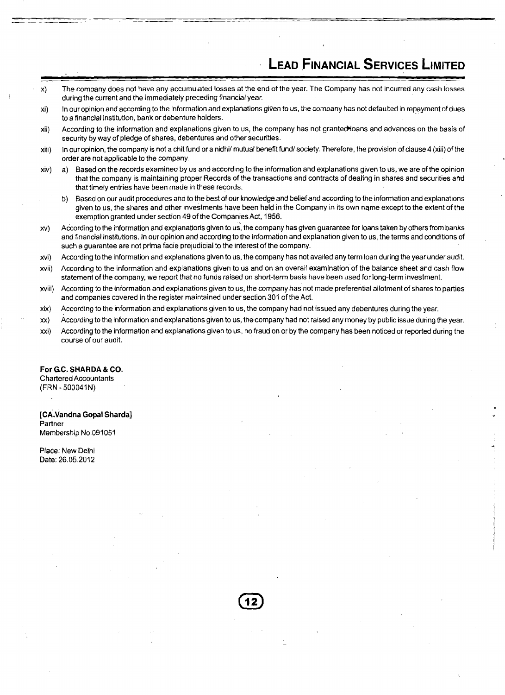- x) The company does not have any accumulated losses at the end of the year. The Company has not incurred any cash losses during the current and the immediately preceding financial year.
- xi) In our opinion and according to the information and explanations given to us, the company has not defaulted in repayment of dues to a financial institution, bank or debenture holders.
- xii) According to the information and explanations given to us, the company has not granted loans and advances on the basis of security by way of pledge of shares, debentures and other securities.
- xiii) In our opinion, the company is not a chit fund or a nidhi/ mutual benefit fund/society. Therefore, the provision of clause 4 (xiii) of the order are not applicable to the company.
- xiv) a) Based on the records examined by us and according to the information and explanations given to us, we are of the opinion that the company is maintaining proper Records of the transactions and contracts of dealing in shares and securities arrd that timely entries have been made in these records.
	- b) Based on our audit procedures and to the best of our knowledge and belief and according to the information and explanations given to us, the shares and other investments have been held in the Company in its own name except to the extent of the exemption granted under section 49 of the Companies Act. 1956.
- xy) According to the information and explanations given to us, the company has given guarantee for loans taken by others from banks and financial institutions. In our opinion and according to the information and explanation given to us, the terms and conditions of such a guarantee are not prima facie prejudicial to the interest of the company.
- xvi) According to the information and explanations given to us, the company has not availed any term loan during the year under audit.
- xvii) According to the information and explanations given to us and on an overall examination of the balance sheet and cash flow statement of the company, we report that no funds raised on short-term basis have been used for long-term investment.
- xviii) According to the information and explanations given to us, the company has not made preferential allotment of shares to parties and companies covered in the register maintained under section 301 of the Act.
- xix) According to the information and explanations given to us, the company had not issued any debentures during the year.
- xx) According to the information and explanations given to us, the company had not raised any money by public issue during the year.
- xxi) According to the information and explanations given to us, no fraud on or by the company has been noticed or reported during the course of our audit.

### **For GC. SHARDA** & **CO.**  Chartered Accountants (FRN - 500041N)

**[~~.~andna Gopal Sharda]**  Partner Membership No.091051

Place: New Delhi Date: 26.05.2012

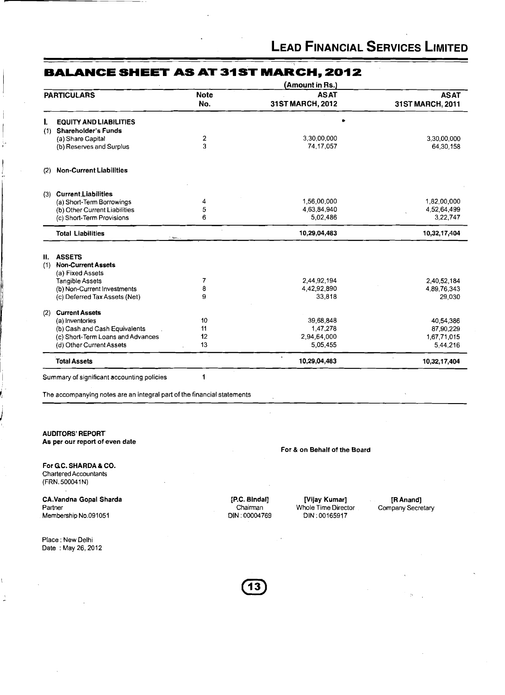|     |                                   |                    | (Amount in Rs.)                 |                                 |
|-----|-----------------------------------|--------------------|---------------------------------|---------------------------------|
|     | <b>PARTICULARS</b>                | <b>Note</b><br>No. | <b>ASAT</b><br>31ST MARCH, 2012 | <b>ASAT</b><br>31ST MARCH, 2011 |
|     | <b>EQUITY AND LIABILITIES</b>     |                    |                                 |                                 |
| (1) | <b>Shareholder's Funds</b>        |                    |                                 |                                 |
|     | (a) Share Capital                 | $\boldsymbol{2}$   | 3,30,00,000                     | 3,30,00,000                     |
|     | (b) Reserves and Surplus          | 3                  | 74, 17, 057                     | 64,30,158                       |
| (2) | <b>Non-Current Liabilities</b>    |                    |                                 |                                 |
|     | (3) Current Liabilities           |                    |                                 |                                 |
|     | (a) Short-Term Borrowings         | 4                  | 1,56,00,000                     | 1,82,00,000                     |
|     | (b) Other Current Liabilities     | 5                  | 4,63,84,940                     | 4,52,64,499                     |
|     | (c) Short-Term Provisions         | 6                  | 5,02,486                        | 3,22,747                        |
|     | <b>Total Liabilities</b>          |                    | 10,29,04,483                    | 10,32,17,404                    |
| Н.  | <b>ASSETS</b>                     |                    |                                 |                                 |
| (1) | <b>Non-Current Assets</b>         |                    |                                 |                                 |
|     | (a) Fixed Assets                  |                    |                                 |                                 |
|     | <b>Tangible Assets</b>            | 7                  | 2,44,92,194                     | 2,40,52,184                     |
|     | (b) Non-Current Investments       | 8                  | 4,42,92,890                     | 4,89,76,343                     |
|     | (c) Deferred Tax Assets (Net)     | 9                  | 33,818                          | 29,030                          |
| (2) | <b>Current Assets</b>             |                    |                                 |                                 |
|     | (a) Inventories                   | 10                 | 39,68,848                       | 40,54,386                       |
|     | (b) Cash and Cash Equivalents     | 11                 | 1,47,278                        | 87,90,229                       |
|     | (c) Short-Term Loans and Advances | 12                 | 2,94,64,000                     | 1,67,71,015                     |
|     | (d) Other Current Assets          | 13                 | 5,05,455                        | 5,44,216                        |
|     | <b>Total Assets</b>               |                    | 10,29,04,483                    | 10,32,17,404                    |

### **BALANCE SHEET AS AT 31ST MARCH, 2012**

Summary of significant accounting policies 1

The accompanying notes are an integral part of the financial statements

**AUDITORS' REPORT As per our report of even date** 

**For GC. SHARDA** & **CO.**  Chartered Accountants (FRN. 500041N)

I

i

**CA.Vandna Gopal Sharda**  Partner Membership No.091051

Place : New Delhi Date: May 26, 2012 **For** & **on Behalf of the Board** 

**[P.C. Blndal] [Vijay Kumar] [R Anand]**  Chairman **Whole Time Director** Company Secretary DIN : 00004769 DIN : 00165917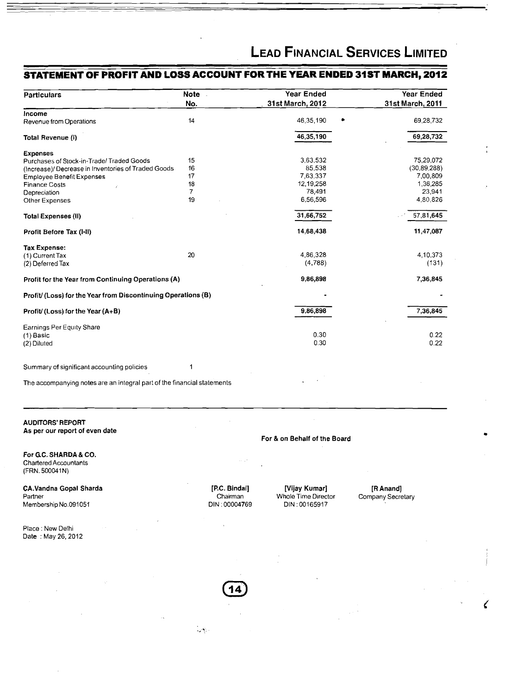## **STATEMENT OF PROFIT AND LOSS ACCOUNT FOR THE YEAR ENDED 31ST MARCH, 2012**

| <b>Particulars</b>                                           | Note -         | <b>Year Ended</b> | Year Ended       |
|--------------------------------------------------------------|----------------|-------------------|------------------|
|                                                              | No.            | 31st March, 2012  | 31st March, 2011 |
| Income                                                       |                |                   |                  |
| Revenue from Operations                                      | 14             | 46,35,190         | 69,28,732        |
| Total Revenue (I)                                            |                | 46,35,190         | 69,28,732        |
| <b>Expenses</b>                                              |                |                   |                  |
| Purchases of Stock-in-Trade/ Traded Goods                    | 15             | 3,63,532          | 75,29,072        |
| (Increase)/ Decrease in Inventories of Traded Goods          | 16             | 85.538            | (30, 89, 288)    |
| <b>Employee Benefit Expenses</b>                             | 17             | 7,63,337          | 7,00,809         |
| <b>Finance Costs</b>                                         | 18             | 12,19,258         | 1,36,285         |
| Depreciation                                                 | $\overline{7}$ | 78,491            | 23,941           |
| Other Expenses                                               | 19             | 6,56,596          | 4,80,826         |
| <b>Total Expenses (II)</b>                                   |                | 31,66,752         | 57,81,645        |
| Profit Before Tax (I-II)                                     |                | 14,68,438         | 11,47,087        |
| <b>Tax Expense:</b>                                          |                |                   |                  |
| (1) Current Tax                                              | 20             | 4,86,328          | 4,10,373         |
| (2) Deferred Tax                                             |                | (4,788)           | (131)            |
| Profit for the Year from Continuing Operations (A)           |                | 9,86,898          | 7,36,845         |
| Profit/(Loss) for the Year from Discontinuing Operations (B) |                |                   |                  |
| Profit/(Loss) for the Year (A+B)                             |                | 9,86,898          | 7,36,845         |
| Earnings Per Equity Share                                    |                |                   |                  |
| $(1)$ Basic                                                  |                | 0.30              | 0.22             |
| (2) Diluted                                                  |                | 0.30              | 0.22             |
| Summary of significant accounting policies                   | 1              |                   |                  |
|                                                              |                |                   |                  |

 $\mathcal{L}(\mathbf{y})$ 

The accompanying notes are an integral part of the financial statements

### AUDITORS' REPORT As per our report of even date

For GC. SHARDA & CO. Chartered Accountants (FRN. 500041N)

CA.Vandna Gopal Sharda Partner Membership No.091051

Place : New Delhi Date : May 26,2012

[P.C. Bindal] [Vijay Kumar] [R Anand] Chairman Whole Time Director Company Secretary<br>
DIN : 00004769 DIN : 00165917 DIN : 00165917

For & on Behalf of the Board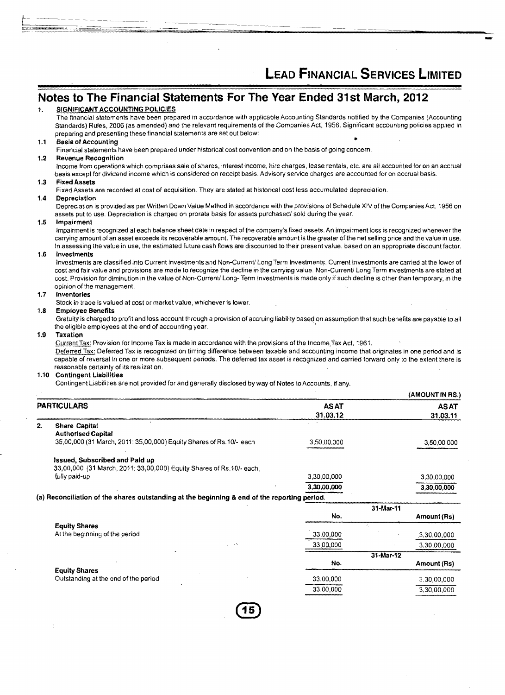(AMOUNT IN RS.)

**31.03.12 31.03.11** 

### **Notes to The Financial Statements For The Year Ended 31 st March, 2012**

#### SIGNIFICANT ACCOUNTING POLICIES  $\mathbf{1}$

The financial statements have been prepared in accordance with applicable Accounting Standards notified by the Companies (Accounting Standards) Rules, 2006 (as amended) and the relevant requirements of the Companies Act, 1956. Significant accounting policies applied in preparing and presenting these financial statements are set out below:

#### Basis of Accounting  $11$

Financial statements have been prepared under historical cost convention and on the basis of going concern.

#### $1.2$ Revenue Recognition

Income from operations which comprises sale of shares, interest income, hire charges, lease rentals, etc. are all accounted for on an accrual .basis except for dividend income which is considered on receipt basis. Advisory service charges are accounted for on accrual basis.

#### Fixed Assets  $1.3$

Fixed Assets are recorded at cost of acquisition. They are stated at historical cost less accumulated depreciation.

#### 14 Depreciatlon

Depreciation is provided as per Written Down Value Method in accordance with the provisions of Schedule XIV of the Companies Act, 1956 on assets put to use. Depreciation is charged on prorata basis for assets purchased/ sold during the year.

#### 1.5 Impairment

Impairment is recognized at each balance sheet date in respect of the company's fixed assets. An impairment loss is recognized whenever the carrying amount of an asset exceeds its recoverable amount. The recoverable amount is the greater of the net selling price and the value in use. In assessing the value in use, the estimated future cash flows are discounted to their present value, based on an appropriate discount factor.

#### $1.6$ lnvestments

Investments are classified into Current Investments and Non-Current/ Long Term Investments. Current Investments are carried at the lower of cost and fair value and provisions are made to recognize the decline in the carrying value. Non-Current/ Long Term investments are stated at cost. Provision for diminution in the value of Non-Current/ Long- Term Investments is made only if such decline is other than temporary, in the opinion of the management.

#### $1.7$ Inventories

Stock in trade is valued at cost or market value, whichever is lower.

#### $1.8$ Employee Benefits

the eligible employees at the end of accounting year.

#### 1.9 Taxation

Current Tax: Provision for Income Tax is made in accordance with the provisions of the Income Tax Act, 1961.

Gratuity is charged to profit and loss account through a provision of accruing liability based on assumption that such benefits are payable to all<br>the eligible employees at the end of accounting year.<br>Taxation<br><u>Current Tax</u> capable of reversal in one or more subsequent periods. The deferred tax asset is recognized and carried forward only to the extent there is reasonable certainty of its realization.

#### $1.10$ Contingent Liabilities

Contingent Liabilities are not provided for and generally disclosed by way of Notes to Accounts, if any.

| PARTICULARS | <b>ASAT</b> | <b>ASAT</b> |
|-------------|-------------|-------------|
|             | _ _ _ _ _   |             |

| 2. |  | <b>Share Capital</b> |
|----|--|----------------------|
|----|--|----------------------|

|                                                                                              | N۵          | 31-Mar-11<br>$A$ mount $B_{c}$ |
|----------------------------------------------------------------------------------------------|-------------|--------------------------------|
| (a) Reconciliation of the shares outstanding at the beginning & end of the reporting period. |             |                                |
|                                                                                              | 3,30,00,000 | 3.30.00.000                    |
| fully paid-up                                                                                | 3.30.00.000 | 3,30,00,000                    |
| 33,00,000 (31 March, 2011; 33,00,000) Equity Shares of Rs.10/- each.                         |             |                                |
| Issued, Subscribed and Paid up                                                               |             |                                |
| 35,00,000 (31 March, 2011; 35,00,000) Equity Shares of Rs.10/- each                          | 3.50.00.000 | 3,50,00,000                    |
| <b>Authorised Capital</b>                                                                    |             |                                |
|                                                                                              |             |                                |

|                                      | No.                 | Amount (Rs)  |
|--------------------------------------|---------------------|--------------|
| <b>Equity Shares</b>                 |                     |              |
| At the beginning of the period       | 33,00,000           | .3,30,00,000 |
|                                      | 33,00,000<br>$\sim$ | 3,30,00,000  |
|                                      |                     | 31-Mar-12    |
|                                      | No.                 | Amount (Rs)  |
| <b>Equity Shares</b>                 |                     |              |
| Outstanding at the end of the period | 33,00,000           | 3,30,00,000  |
|                                      | 33,00,000           | 3,30,00,000  |
|                                      |                     |              |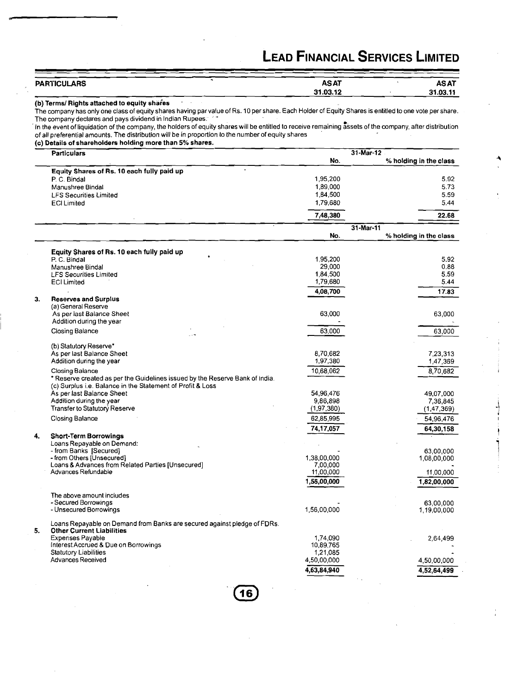| <b>PARTICULARS</b> | <b>ASAT</b> | <b>ASAT</b> |
|--------------------|-------------|-------------|
|                    | 31.03.12    | 31.03.11    |

(b) Terms/ Rights attached to equity shares

The company has only one class of equity shares having par value of Rs. 10 per share. Each Holder of Equity Shares is entitled to one vote per share. The company declares and pays dividend in Indian Rupees.

In the event of liquidation of the company, the holders of equity shares will be entitled to receive remaining assets of the company, after distribution of all preferential amounts. The distribution will be in proportion lo the number of equity shares

(c) Details of shareholders holding more than 5% shares.

|    | <b>Particulars</b>                                                           | 31-Mar-12               |                        |  |
|----|------------------------------------------------------------------------------|-------------------------|------------------------|--|
|    |                                                                              | No.                     | % holding in the class |  |
|    | Equity Shares of Rs. 10 each fully paid up                                   |                         |                        |  |
|    | P. C. Bindal                                                                 | 1,95,200                | 5.92                   |  |
|    | Manushree Bindal                                                             | 1,89,000                | 5.73                   |  |
|    | <b>LFS Securities Limited</b>                                                | 1,84,500                | 5.59                   |  |
|    | <b>ECI Limited</b>                                                           | 1,79,680                | 5.44                   |  |
|    |                                                                              |                         | 22.68                  |  |
|    |                                                                              | 7,48,380                |                        |  |
|    |                                                                              |                         | 31-Mar-11              |  |
|    |                                                                              | No.                     | % holding in the class |  |
|    |                                                                              |                         |                        |  |
|    | Equity Shares of Rs. 10 each fully paid up                                   |                         |                        |  |
|    | P. C. Bindal                                                                 | 1,95,200                | 5.92<br>0.88           |  |
|    | Manushree Bindal                                                             | 29,000<br>1,84,500      | 5.59                   |  |
|    | <b>LFS Securities Limited</b><br><b>ECI Limited</b>                          | 1,79,680                | 5.44                   |  |
|    |                                                                              |                         |                        |  |
| 3. | <b>Reserves and Surplus</b>                                                  | 4,08,700                | 17.83                  |  |
|    | (a) General Reserve                                                          |                         |                        |  |
|    | As per last Balance Sheet                                                    | 63,000                  | 63,000                 |  |
|    | Addition during the year                                                     |                         |                        |  |
|    | Closing Balance                                                              | 63,000                  | 63,000                 |  |
|    |                                                                              |                         |                        |  |
|    | (b) Statutory Reserve*                                                       |                         |                        |  |
|    | As per last Balance Sheet                                                    | 8,70,682                | 7,23,313               |  |
|    | Addition during the year                                                     | 1,97,380                | 1,47,369               |  |
|    | Closing Balance                                                              | 10,68,062               | 8,70,682               |  |
|    | * Reserve created as per the Guidelines issued by the Reserve Bank of India. |                         |                        |  |
|    | (c) Surplus i.e. Balance in the Statement of Profit & Loss                   |                         |                        |  |
|    | As per last Balance Sheet                                                    | 54,96,476               | 49,07,000              |  |
|    | Addition during the year                                                     | 9,86,898                | 7,36,845               |  |
|    | Transfer to Statutory Reserve                                                | (1, 97, 380)            | (1, 47, 369)           |  |
|    | Closing Balance                                                              | 62,85,995               | 54,96,476              |  |
|    |                                                                              | 74,17,057               | 64,30,158              |  |
| 4. | <b>Short-Term Borrowings</b>                                                 |                         |                        |  |
|    | Loans Repayable on Demand:                                                   |                         |                        |  |
|    | - from Banks [Secured]                                                       |                         | 63,00,000              |  |
|    | - from Others [Unsecured]                                                    | 1,38,00,000<br>7,00,000 | 1,08,00,000            |  |
|    | Loans & Advances from Related Parties [Unsecured]<br>Advances Refundable     | 11,00,000               | 11,00,000              |  |
|    |                                                                              | 1,56,00,000             |                        |  |
|    |                                                                              |                         | 1,82,00,000            |  |
|    | The above amount includes                                                    |                         |                        |  |
|    | - Secured Borrowings                                                         |                         | 63.00.000              |  |
|    | - Unsecured Borrowings                                                       | 1,56,00,000             | 1,19,00,000            |  |
|    | Loans Repayable on Demand from Banks are secured against pledge of FDRs.     |                         |                        |  |
| 5. | <b>Other Current Liabilities</b>                                             |                         |                        |  |
|    | <b>Expenses Payable</b>                                                      | 1,74,090                | 2,64,499               |  |
|    | Interest Accrued & Due on Borrowings                                         | 10,89,765               |                        |  |
|    | <b>Statutory Liabilities</b>                                                 | 1,21,085                |                        |  |
|    | <b>Advances Received</b>                                                     | 4,50,00,000             | 4,50,00,000            |  |
|    |                                                                              | 4,63,84,940             | 4,52,64,499            |  |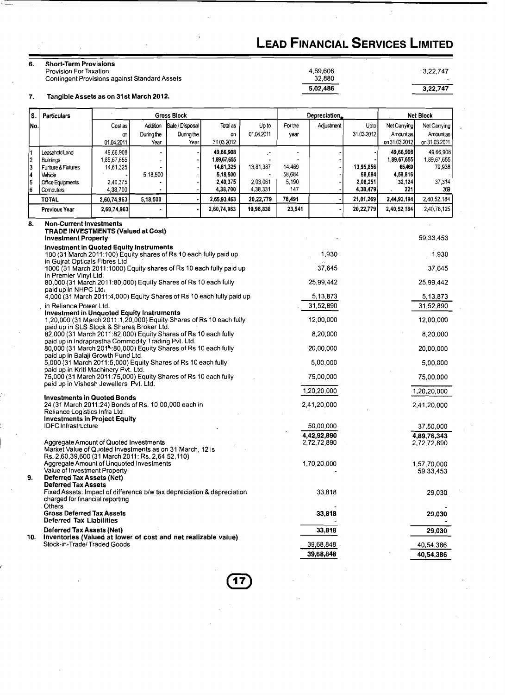3,22,747

 $3,22,747$ 

4,69,606<br>32,880

5,02,486

### **6.** Short-Term Provisions

Provision For Taxation Contingent Provisions against Standard Assets

**7.** Tangible Assets as on **31** st March 201 2.

| ls.                                                       | <b>Particulars</b><br><b>Gross Block</b>                                                                                                                     |                      |            |                 | Depreciation         |                      |              | <b>Net Block</b> |                      |               |               |
|-----------------------------------------------------------|--------------------------------------------------------------------------------------------------------------------------------------------------------------|----------------------|------------|-----------------|----------------------|----------------------|--------------|------------------|----------------------|---------------|---------------|
| ΙNο.                                                      |                                                                                                                                                              | Cost as              | Addition   | Sale / Disposal | Total as             | Up to                | For the      | Adjustment       | Upto                 | Net Carrying  | Net Carrying  |
|                                                           |                                                                                                                                                              | m                    | During the | During the      | on                   | 01.04.2011           | year         |                  | 31.03.2012           | Amount as     | Amount as     |
|                                                           |                                                                                                                                                              | 01.04.2011           | Year       | Year            | 31.03.2012           |                      |              |                  |                      | on 31.03.2012 | on 31.03.2011 |
|                                                           | Leasehold Land                                                                                                                                               | 49,66,908            |            |                 | 49,66,908            | г,                   |              |                  |                      | 49,66,908     | 49,66,908     |
|                                                           | <b>Buildings</b>                                                                                                                                             | 1,89,67,655          |            |                 | 1,89,67,655          |                      |              |                  |                      | 1,89,67,655   | 1,89,67,655   |
|                                                           | Furiture & Fixtures                                                                                                                                          | 14,61,325            |            |                 | 14,61,325            | 13,81,387            | 14,469       |                  | 13,95,856            | 65.469        | 79,938        |
|                                                           | Vehicle                                                                                                                                                      |                      | 5,18,500   |                 | 5,18,500             |                      | 58,684       |                  | 58,684               | 4,59,816      |               |
| $\begin{array}{c} 1 \\ 2 \\ 3 \\ 4 \\ 5 \\ 6 \end{array}$ | Office Equipments                                                                                                                                            | 2,40,375<br>4,38,700 |            |                 | 2,40,375<br>4,38,700 | 2,03,061<br>4,38,331 | 5.190<br>147 |                  | 2,08,251<br>4,38,479 | 32,124<br>221 | 37,314<br>369 |
|                                                           | Computers<br><b>TOTAL</b>                                                                                                                                    | 2,60,74,963          | 5,18,500   |                 | 2,65,93,463          | 20,22,779            | 78,491       |                  | 21,01,269            | 2,44,92,194   | 2,40,52,184   |
|                                                           | <b>Previous Year</b>                                                                                                                                         | 2,60,74,963          |            |                 | 2,60,74,963          | 19,98,838            | 23,941       |                  | 20,22,779            | 2,40,52,184   | 2,40,76,125   |
| 8.                                                        | <b>Non-Current Investments</b><br><b>TRADE INVESTMENTS (Valued at Cost)</b>                                                                                  |                      |            |                 |                      |                      |              |                  |                      |               |               |
|                                                           | <b>Investment Property</b>                                                                                                                                   |                      |            |                 |                      |                      |              |                  |                      |               | 59,33,453     |
|                                                           | <b>Investment in Quoted Equity Instruments</b><br>100 (31 March 2011:100) Equity shares of Rs 10 each fully paid up<br>in Guirat Opticals Fibres Ltd         |                      |            |                 |                      |                      |              | 1,930            |                      |               | 1,930         |
|                                                           | 1000 (31 March 2011:1000) Equity shares of Rs 10 each fully paid up<br>in Premier Vinyl Ltd.                                                                 |                      |            |                 |                      |                      |              | 37,645           |                      |               | 37,645        |
|                                                           | 80,000 (31 March 2011:80,000) Equity Shares of Rs 10 each fully<br>paid up in NHPC Ltd.                                                                      |                      |            |                 |                      |                      |              | 25,99,442        |                      |               | 25,99,442     |
|                                                           | 4,000 (31 March 2011:4,000) Equity Shares of Rs 10 each fully paid up                                                                                        |                      |            |                 |                      |                      |              | 5,13,873         |                      |               | 5,13,873      |
|                                                           | in Reliance Power Ltd.<br><b>Investment in Unquoted Equity Instruments</b>                                                                                   |                      |            |                 |                      |                      |              | 31,52,890        |                      |               | 31,52,890     |
|                                                           | 1,20,000 (31 March 2011:1,20,000) Equity Shares of Rs 10 each fully<br>paid up in SLS Stock & Shares Broker Ltd.                                             |                      |            |                 |                      |                      |              | 12,00,000        |                      |               | 12,00,000     |
|                                                           | 82,000 (31 March 2011:82,000) Equity Shares of Rs 10 each fully                                                                                              |                      |            |                 | 8,20,000             |                      |              | 8,20,000         |                      |               |               |
|                                                           | paid up in Indraprastha Commodity Trading Pvt. Ltd.<br>80,000 (31 March 2014:80,000) Equity Shares of Rs 10 each fully<br>paid up in Balaji Growth Fund Ltd. |                      |            |                 |                      | 20,00,000            |              |                  | 20,00,000            |               |               |
|                                                           | 5,000 (31 March 2011:5,000) Equity Shares of Rs 10 each fully<br>paid up in Kriti Machinery Pvt. Ltd.                                                        |                      |            |                 |                      |                      |              | 5,00,000         |                      |               | 5,00,000      |
|                                                           | 75,000 (31 March 2011:75,000) Equity Shares of Rs 10 each fully<br>paid up in Vishesh Jewellers Pvt. Ltd.                                                    |                      |            |                 |                      |                      |              | 75,00,000        |                      |               | 75,00,000     |
|                                                           | <b>Investments in Quoted Bonds</b>                                                                                                                           |                      |            |                 |                      |                      |              | 1,20,20,000      |                      |               | 1,20,20,000   |
|                                                           | 24 (31 March 2011:24) Bonds of Rs. 10,00,000 each in<br>Reliance Logistics Infra Ltd.                                                                        |                      |            |                 |                      |                      |              | 2,41,20,000      |                      |               | 2,41,20,000   |
|                                                           | <b>Investments in Project Equity</b><br><b>IDFC</b> Infrastructure                                                                                           |                      |            |                 |                      |                      |              | 50,00,000        |                      |               | 37,50,000     |
|                                                           |                                                                                                                                                              |                      |            |                 |                      |                      |              | 4,42,92,890      |                      |               | 4,89,76,343   |
|                                                           | Aggregate Amount of Quoted Investments                                                                                                                       |                      |            |                 |                      |                      |              | 2,72,72,890      |                      |               | 2,72,72,890   |
|                                                           | Market Value of Quoted Investments as on 31 March, 12 is                                                                                                     |                      |            |                 |                      |                      |              |                  |                      |               |               |
|                                                           | Rs. 2,60,39,600 (31 March 2011: Rs. 2,64,52,110)                                                                                                             |                      |            |                 |                      |                      |              |                  |                      |               |               |
|                                                           | Aggregate Amount of Unquoted Investments<br>Value of Investment Property                                                                                     |                      |            |                 |                      |                      |              | 1,70,20,000      |                      |               | 1,57,70,000   |
| 9.                                                        | <b>Deferred Tax Assets (Net)</b>                                                                                                                             |                      |            |                 |                      |                      |              |                  |                      |               | 59,33,453     |
|                                                           | <b>Deferred Tax Assets</b><br>Fixed Assets: Impact of difference b/w tax depreciation & depreciation<br>charged for financial reporting                      |                      |            |                 |                      |                      |              | 33,818           |                      |               | 29,030        |
|                                                           | <b>Others</b><br><b>Gross Deferred Tax Assets</b><br><b>Deferred Tax Liabilities</b>                                                                         |                      |            |                 |                      |                      |              | 33,818           |                      |               | 29,030        |
|                                                           | <b>Deferred Tax Assets (Net)</b>                                                                                                                             |                      |            |                 |                      |                      |              | 33,818           |                      |               | 29,030        |
| 10.                                                       | Inventories (Valued at lower of cost and net realizable value)<br>Stock-in-Trade/Traded Goods                                                                |                      |            |                 |                      |                      |              | 39,68,848        |                      |               |               |
|                                                           |                                                                                                                                                              |                      |            |                 |                      |                      |              | 39,68,848        |                      |               | 40,54,386     |
|                                                           |                                                                                                                                                              |                      |            |                 |                      |                      |              |                  |                      |               | 40,54,386     |

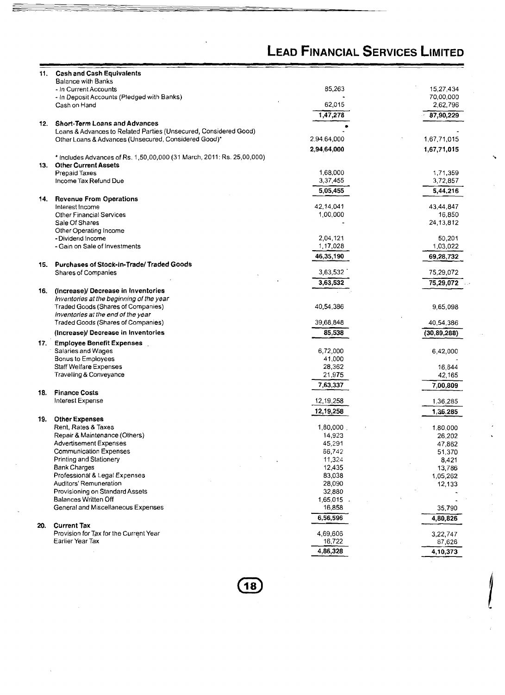|     |                                                                                                                          | LEAU FINANCIAL JERVICES LIMITEU |               |
|-----|--------------------------------------------------------------------------------------------------------------------------|---------------------------------|---------------|
| 11. | <b>Cash and Cash Equivalents</b>                                                                                         |                                 |               |
|     | <b>Balance with Banks</b>                                                                                                |                                 |               |
|     | - In Current Accounts                                                                                                    | 85,263                          | 15,27,434     |
|     | - In Deposit Accounts (Pledged with Banks)                                                                               |                                 | 70,00,000     |
|     | Cash on Hand                                                                                                             | 62,015                          | 2,62,796      |
|     |                                                                                                                          | 1, 47, 278                      | 87,90,229     |
| 12. | <b>Short-Term Loans and Advances</b>                                                                                     |                                 |               |
|     | Loans & Advances to Related Parties (Unsecured, Considered Good)<br>Other Loans & Advances (Unsecured, Considered Good)* | 2,94,64,000                     | 1,67,71,015   |
|     |                                                                                                                          |                                 |               |
|     |                                                                                                                          | 2,94,64,000                     | 1,67,71,015   |
|     | * Includes Advances of Rs. 1,50,00,000 (31 March, 2011: Rs. 25,00,000)<br>13. Other Current Assets                       |                                 |               |
|     | <b>Prepaid Taxes</b>                                                                                                     | 1,68,000                        | 1,71,359      |
|     | Income Tax Refund Due                                                                                                    | 3,37,455                        | 3,72,857      |
|     |                                                                                                                          | 5,05,455                        | 5,44,216      |
| 14. | <b>Revenue From Operations</b>                                                                                           |                                 |               |
|     | Interest Income                                                                                                          | 42,14,041                       | 43,44,847     |
|     | <b>Other Financial Services</b>                                                                                          | 1,00,000                        | 16,850        |
|     | Sale Of Shares                                                                                                           |                                 | 24,13,812     |
|     | Other Operating Income                                                                                                   |                                 |               |
|     | - Dividend Income                                                                                                        | 2,04,121                        | 50,201        |
|     | - Gain on Sale of Investments                                                                                            | 1,17,028                        | 1,03,022      |
|     |                                                                                                                          | 46,35,190                       | 69,28,732     |
|     | 15. Purchases of Stock-in-Trade/Traded Goods                                                                             |                                 |               |
|     | Shares of Companies                                                                                                      | 3,63,532                        | 75,29,072     |
|     |                                                                                                                          | 3,63,532                        | 75,29,072     |
| 16. | (Increase)/ Decrease in Inventories                                                                                      |                                 |               |
|     | Inventories at the beginning of the year<br><b>Traded Goods (Shares of Companies)</b>                                    | 40,54,386                       | 9,65,098      |
|     | Inventories at the end of the year                                                                                       |                                 |               |
|     | Traded Goods (Shares of Companies)                                                                                       | 39,68,848                       | 40,54,386     |
|     | (Increase)/ Decrease in Inventories                                                                                      | 85,538                          | (30, 89, 288) |
|     |                                                                                                                          |                                 |               |
| 17. | <b>Employee Benefit Expenses</b><br>Salaries and Wages                                                                   | 6,72,000                        | 6,42,000      |
|     | Bonus to Employees                                                                                                       | 41,000                          |               |
|     | Staff Welfare Expenses                                                                                                   | 28,362                          | 16,644        |
|     | Travelling & Conveyance                                                                                                  | 21,975                          | 42,165        |
|     |                                                                                                                          | 7,63,337                        | 7,00,809      |
| 18. | <b>Finance Costs</b>                                                                                                     |                                 |               |
|     | Interest Expense                                                                                                         | 12,19,258                       | 1,36,285      |
|     |                                                                                                                          | 12,19,258                       | 1,36,285      |
| 19. | <b>Other Expenses</b>                                                                                                    |                                 |               |
|     | Rent, Rates & Taxes                                                                                                      | 1,80,000                        | 1,80,000      |
|     | Repair & Maintenance (Others)                                                                                            | 14,923                          | 26,202        |
|     | <b>Advertisement Expenses</b>                                                                                            | 45,291                          | 47,862        |
|     | <b>Communication Expenses</b>                                                                                            | 66,742                          | 51,370        |
|     | Printing and Stationery                                                                                                  | 11,324                          | 8,421         |
|     | <b>Bank Charges</b>                                                                                                      | 12,435                          | 13,786        |
|     | Professional & Legal Expenses<br>Auditors' Remuneration                                                                  | 83,038<br>28,090                | 1,05,262      |
|     | Provisioning on Standard Assets                                                                                          | 32,880                          | 12,133        |
|     | Balances Written Off                                                                                                     | 1,65,015.                       |               |
|     | General and Miscellaneous Expenses                                                                                       | 16,858                          | 35,790        |
|     |                                                                                                                          | 6,56,596                        | 4,80,826      |
| 20. | <b>Current Tax</b>                                                                                                       |                                 |               |
|     | Provision for Tax for the Current Year                                                                                   | 4,69,606                        | 3,22,747      |
|     | Earlier Year Tax                                                                                                         | 16,722                          | 87,626        |
|     |                                                                                                                          | 4,86,328                        | 4,10,373      |
|     |                                                                                                                          |                                 |               |

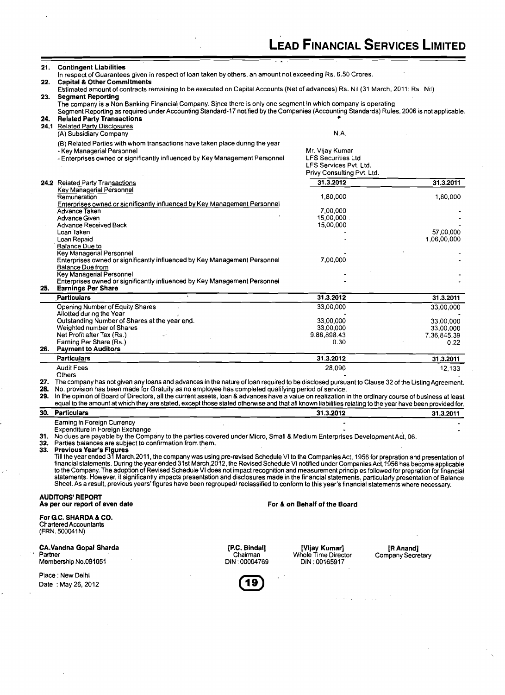|         |                                                                                                                                                                                                                                                                                                                                                                                                                                                                                                                                                                                                                                                                                                                                                                                                                                                                                                                                                                                                                                                           |                                            |                                                                                                      | <b>LEAD FINANCIAL SERVICES LIMITED</b> |
|---------|-----------------------------------------------------------------------------------------------------------------------------------------------------------------------------------------------------------------------------------------------------------------------------------------------------------------------------------------------------------------------------------------------------------------------------------------------------------------------------------------------------------------------------------------------------------------------------------------------------------------------------------------------------------------------------------------------------------------------------------------------------------------------------------------------------------------------------------------------------------------------------------------------------------------------------------------------------------------------------------------------------------------------------------------------------------|--------------------------------------------|------------------------------------------------------------------------------------------------------|----------------------------------------|
| 21.     | <b>Contingent Liabilities</b><br>In respect of Guarantees given in respect of loan taken by others, an amount not exceeding Rs. 6.50 Crores.                                                                                                                                                                                                                                                                                                                                                                                                                                                                                                                                                                                                                                                                                                                                                                                                                                                                                                              |                                            |                                                                                                      |                                        |
| 22.     | <b>Capital &amp; Other Commitments</b><br>Estimated amount of contracts remaining to be executed on Capital Accounts (Net of advances) Rs. Nil (31 March, 2011: Rs. Nil)                                                                                                                                                                                                                                                                                                                                                                                                                                                                                                                                                                                                                                                                                                                                                                                                                                                                                  |                                            |                                                                                                      |                                        |
| 23.     | <b>Segment Reporting</b><br>The company is a Non Banking Financial Company. Since there is only one segment in which company is operating,<br>Segment Reporting as required under Accounting Standard-17 notified by the Companies (Accounting Standards) Rules, 2006 is not applicable.                                                                                                                                                                                                                                                                                                                                                                                                                                                                                                                                                                                                                                                                                                                                                                  |                                            |                                                                                                      |                                        |
| 24.     | <b>Related Party Transactions</b><br>24.1 Related Party Disclosures<br>(A) Subsidiary Company                                                                                                                                                                                                                                                                                                                                                                                                                                                                                                                                                                                                                                                                                                                                                                                                                                                                                                                                                             |                                            | N.A.                                                                                                 |                                        |
|         | (B) Related Parties with whom transactions have taken place during the year<br>- Key Managerial Personnel<br>- Enterprises owned or significantly influenced by Key Management Personnel                                                                                                                                                                                                                                                                                                                                                                                                                                                                                                                                                                                                                                                                                                                                                                                                                                                                  |                                            | Mr. Vijay Kumar<br><b>LFS Securities Ltd</b><br>LFS Services Pvt. Ltd.<br>Privy Consulting Pvt. Ltd. |                                        |
|         | 24.2 Related Party Transactions                                                                                                                                                                                                                                                                                                                                                                                                                                                                                                                                                                                                                                                                                                                                                                                                                                                                                                                                                                                                                           |                                            | 31.3.2012                                                                                            | 31.3.2011                              |
|         | <b>Key Managerial Personnel</b><br>Remuneration                                                                                                                                                                                                                                                                                                                                                                                                                                                                                                                                                                                                                                                                                                                                                                                                                                                                                                                                                                                                           |                                            | 1,80,000                                                                                             | 1,80,000                               |
|         | Enterprises owned or significantly influenced by Key Management Personnel<br>Advance Taken                                                                                                                                                                                                                                                                                                                                                                                                                                                                                                                                                                                                                                                                                                                                                                                                                                                                                                                                                                |                                            | 7,00,000                                                                                             |                                        |
|         | Advance Given                                                                                                                                                                                                                                                                                                                                                                                                                                                                                                                                                                                                                                                                                                                                                                                                                                                                                                                                                                                                                                             |                                            | 15,00,000                                                                                            |                                        |
|         | Advance Received Back<br>Loan Taken                                                                                                                                                                                                                                                                                                                                                                                                                                                                                                                                                                                                                                                                                                                                                                                                                                                                                                                                                                                                                       |                                            | 15,00,000                                                                                            | 57,00,000                              |
|         | Loan Repaid<br><b>Balance Due to</b>                                                                                                                                                                                                                                                                                                                                                                                                                                                                                                                                                                                                                                                                                                                                                                                                                                                                                                                                                                                                                      |                                            |                                                                                                      | 1,06,00,000                            |
|         | <b>Key Managerial Personnel</b><br>Enterprises owned or significantly influenced by Key Management Personnel<br><b>Balance Due from</b>                                                                                                                                                                                                                                                                                                                                                                                                                                                                                                                                                                                                                                                                                                                                                                                                                                                                                                                   |                                            | 7,00,000                                                                                             |                                        |
| 25.     | <b>Key Managerial Personnel</b><br>Enterprises owned or significantly influenced by Key Management Personnel<br><b>Earnings Per Share</b>                                                                                                                                                                                                                                                                                                                                                                                                                                                                                                                                                                                                                                                                                                                                                                                                                                                                                                                 |                                            |                                                                                                      |                                        |
|         | <b>Particulars</b>                                                                                                                                                                                                                                                                                                                                                                                                                                                                                                                                                                                                                                                                                                                                                                                                                                                                                                                                                                                                                                        |                                            | 31.3.2012                                                                                            | 31.3.2011                              |
|         | Opening Number of Equity Shares                                                                                                                                                                                                                                                                                                                                                                                                                                                                                                                                                                                                                                                                                                                                                                                                                                                                                                                                                                                                                           |                                            | 33,00,000                                                                                            | 33,00,000                              |
|         | Allotted during the Year                                                                                                                                                                                                                                                                                                                                                                                                                                                                                                                                                                                                                                                                                                                                                                                                                                                                                                                                                                                                                                  |                                            |                                                                                                      |                                        |
|         | Outstanding Number of Shares at the year end.<br>Weighted number of Shares                                                                                                                                                                                                                                                                                                                                                                                                                                                                                                                                                                                                                                                                                                                                                                                                                                                                                                                                                                                |                                            | 33,00,000<br>33,00,000                                                                               | 33,00,000<br>33,00,000                 |
|         | Net Profit after Tax (Rs.)                                                                                                                                                                                                                                                                                                                                                                                                                                                                                                                                                                                                                                                                                                                                                                                                                                                                                                                                                                                                                                |                                            | 9.86.898.43                                                                                          | 7,36,845.39                            |
|         | Earning Per Share (Rs.)<br>26. Payment to Auditors                                                                                                                                                                                                                                                                                                                                                                                                                                                                                                                                                                                                                                                                                                                                                                                                                                                                                                                                                                                                        |                                            | 0.30                                                                                                 | 0.22                                   |
|         | <b>Particulars</b>                                                                                                                                                                                                                                                                                                                                                                                                                                                                                                                                                                                                                                                                                                                                                                                                                                                                                                                                                                                                                                        |                                            | 31.3.2012                                                                                            | 31.3.2011                              |
|         | <b>Audit Fees</b><br>Others                                                                                                                                                                                                                                                                                                                                                                                                                                                                                                                                                                                                                                                                                                                                                                                                                                                                                                                                                                                                                               |                                            | 28,090                                                                                               | 12,133                                 |
| 28.     | The company has not given any loans and advances in the nature of loan required to be disclosed pursuant to Clause 32 of the Listing Agreement.<br>No. provision has been made for Gratuity as no employee has completed qualifying period of service.<br>29. In the opinion of Board of Directors, all the current assets, loan & advances have a value on realization in the ordinary course of business at least<br>equal to the amount at which they are stated, except those stated otherwise and that all known liabilities relating to the year have been provided for.                                                                                                                                                                                                                                                                                                                                                                                                                                                                            |                                            |                                                                                                      |                                        |
| 30.     | <b>Particulars</b>                                                                                                                                                                                                                                                                                                                                                                                                                                                                                                                                                                                                                                                                                                                                                                                                                                                                                                                                                                                                                                        |                                            | 31.3.2012                                                                                            | 31.3.2011                              |
|         | Earning in Foreign Currency<br>Expenditure in Foreign Exchange<br>31. No dues are payable by the Company to the parties covered under Micro, Small & Medium Enterprises Development Act, 06.<br>32. Parties balances are subject to confirmation from them.<br>33. Previous Year's Figures<br>Till the year ended 31 March, 2011, the company was using pre-revised Schedule VI to the Companies Act, 1956 for prepration and presentation of<br>financial statements. During the year ended 31st March, 2012, the Revised Schedule VI notified under Companies Act, 1956 has become applicable<br>to the Company. The adoption of Revised Schedule VI does not impact recognition and measurement principles followed for prepration for financial<br>statements. However, it significantly impacts presentation and disclosures made in the financial statements, particularly presentation of Balance<br>Sheet. As a result, previous years' figures have been regrouped/ reclassified to conform to this year's financial statements where necessary. |                                            |                                                                                                      |                                        |
|         | <b>AUDITORS' REPORT</b><br>As per our report of even date                                                                                                                                                                                                                                                                                                                                                                                                                                                                                                                                                                                                                                                                                                                                                                                                                                                                                                                                                                                                 |                                            | For & on Behalf of the Board                                                                         |                                        |
|         | For G.C. SHARDA & CO.<br><b>Chartered Accountants</b><br>(FRN. 500041N)                                                                                                                                                                                                                                                                                                                                                                                                                                                                                                                                                                                                                                                                                                                                                                                                                                                                                                                                                                                   |                                            |                                                                                                      |                                        |
| Partner | <b>CA.Vandna Gopal Sharda</b><br>Membership No.091051                                                                                                                                                                                                                                                                                                                                                                                                                                                                                                                                                                                                                                                                                                                                                                                                                                                                                                                                                                                                     | [P.C. Bindal]<br>Chairman<br>DIN: 00004769 | [Vijay Kumar]<br>Whole Time Director<br>DIN: 00165917                                                | [R Anand]<br>Company Secretary         |
|         | Place : New Delhi<br>Date: May 26, 2012                                                                                                                                                                                                                                                                                                                                                                                                                                                                                                                                                                                                                                                                                                                                                                                                                                                                                                                                                                                                                   |                                            |                                                                                                      |                                        |
|         |                                                                                                                                                                                                                                                                                                                                                                                                                                                                                                                                                                                                                                                                                                                                                                                                                                                                                                                                                                                                                                                           |                                            |                                                                                                      |                                        |
|         |                                                                                                                                                                                                                                                                                                                                                                                                                                                                                                                                                                                                                                                                                                                                                                                                                                                                                                                                                                                                                                                           |                                            |                                                                                                      |                                        |